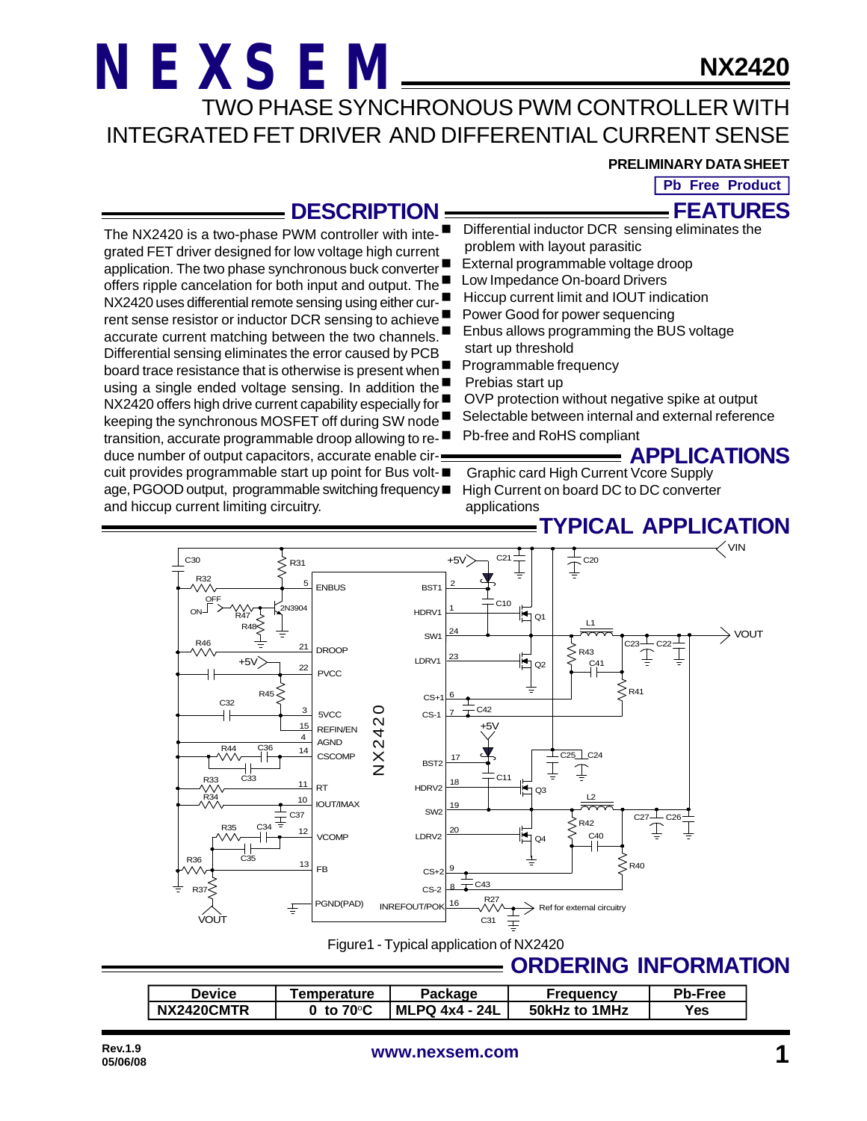**NX2420**

TWO PHASE SYNCHRONOUS PWM CONTROLLER WITH INTEGRATED FET DRIVER AND DIFFERENTIAL CURRENT SENSE

#### **PRELIMINARY DATA SHEET**

**FEATURES Pb Free Product**

### **DESCRIPTION**

**TYPICAL APPLICATION** The NX2420 is a two-phase PWM controller with integrated FET driver designed for low voltage high current application. The two phase synchronous buck converter offers ripple cancelation for both input and output. The NX2420 uses differential remote sensing using either current sense resistor or inductor DCR sensing to achieve accurate current matching between the two channels. Differential sensing eliminates the error caused by PCB board trace resistance that is otherwise is present when using a single ended voltage sensing. In addition the NX2420 offers high drive current capability especially for keeping the synchronous MOSFET off during SW node transition, accurate programmable droop allowing to reduce number of output capacitors, accurate enable circuit provides programmable start up point for Bus voltage, PGOOD output, programmable switching frequency and hiccup current limiting circuitry. Differential inductor DCR sensing eliminates the problem with layout parasitic External programmable voltage droop **Low Impedance On-board Drivers** ■ Hiccup current limit and IOUT indication ■ Power Good for power sequencing Enbus allows programming the BUS voltage start up threshold Programmable frequency Prebias start up OVP protection without negative spike at output Selectable between internal and external reference Pb-free and RoHS compliant **APPLICATIONS** n Graphic card High Current Vcore Supply High Current on board DC to DC converter applications



Figure1 - Typical application of NX2420

### **ORDERING INFORMATION**

| <b>Device</b> | <b>Temperature</b> | Package               | <b>Frequency</b> | <b>Pb-Free</b> |
|---------------|--------------------|-----------------------|------------------|----------------|
| NX2420CMTR    | to $70^{\circ}$ C  | <b>MLPQ 4x4 - 24L</b> | 50kHz to 1MHz    | Yes            |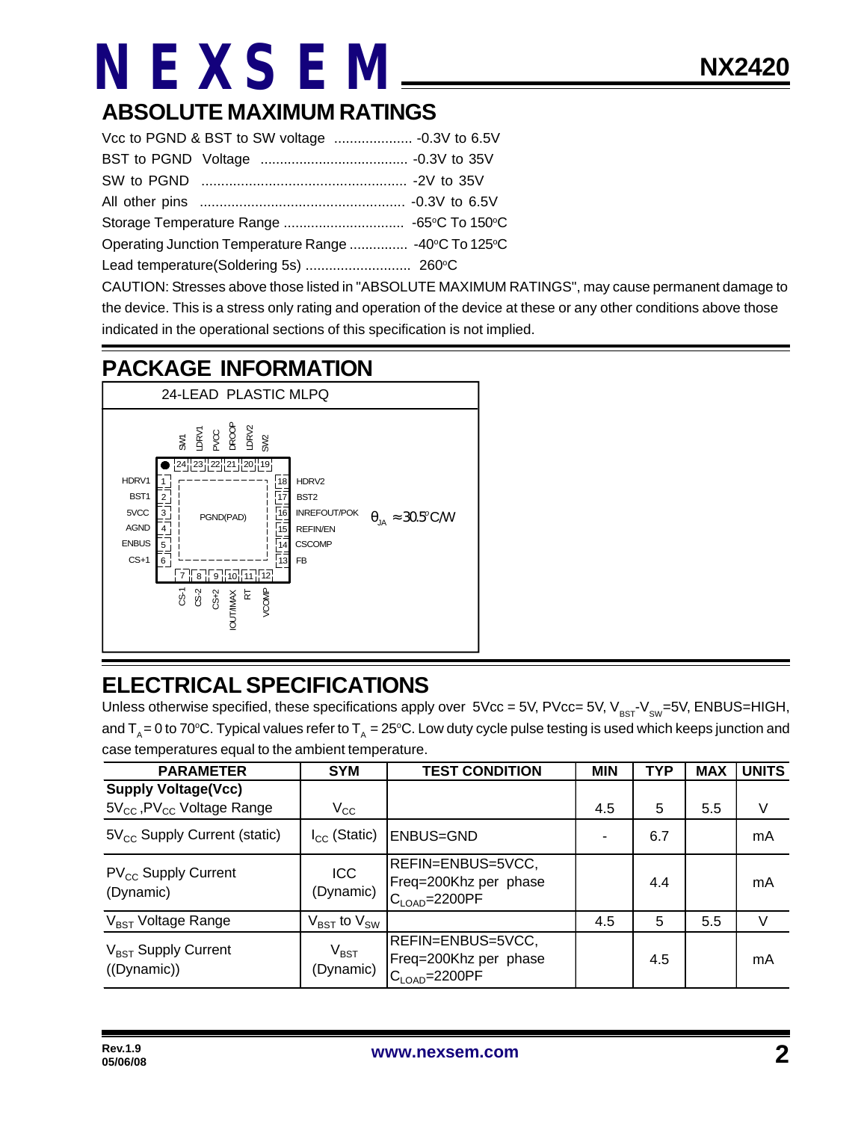## **ABSOLUTE MAXIMUM RATINGS**

CAUTION: Stresses above those listed in "ABSOLUTE MAXIMUM RATINGS", may cause permanent damage to the device. This is a stress only rating and operation of the device at these or any other conditions above those indicated in the operational sections of this specification is not implied.

### **PACKAGE INFORMATION**



## **ELECTRICAL SPECIFICATIONS**

Unless otherwise specified, these specifications apply over  $5Vec = 5V$ ,  $PVec = 5V$ ,  $V_{BST}V_{SW} = 5V$ , ENBUS=HIGH, and T<sub>A</sub> = 0 to 70°C. Typical values refer to T<sub>A</sub> = 25°C. Low duty cycle pulse testing is used which keeps junction and case temperatures equal to the ambient temperature.

| <b>PARAMETER</b>                                                   | <b>SYM</b>                          | <b>TEST CONDITION</b>                                                     | <b>MIN</b> | <b>TYP</b> | <b>MAX</b> | <b>UNITS</b> |
|--------------------------------------------------------------------|-------------------------------------|---------------------------------------------------------------------------|------------|------------|------------|--------------|
| <b>Supply Voltage(Vcc)</b><br>$5V_{CC}$ , PV $_{CC}$ Voltage Range | $V_{\rm CC}$                        |                                                                           | 4.5        | 5          | 5.5        | V            |
| $5V_{\text{cc}}$ Supply Current (static)                           | $I_{\rm CC}$ (Static)               | <b>ENBUS=GND</b>                                                          |            | 6.7        |            | mA           |
| $PV_{CC}$ Supply Current<br>(Dynamic)                              | ICC<br>(Dynamic)                    | REFIN=ENBUS=5VCC,<br>Freq=200Khz per phase<br>$C_{\text{LOAD}} = 2200$ PF |            | 4.4        |            | mA           |
| V <sub>BST</sub> Voltage Range                                     | $V_{\text{BST}}$ to $V_{\text{SW}}$ |                                                                           | 4.5        | 5          | 5.5        | V            |
| $V_{\text{BST}}$ Supply Current<br>((Dynamic))                     | $V_{\text{BST}}$<br>(Dynamic)       | REFIN=ENBUS=5VCC,<br>Freq=200Khz per phase<br>$C_{\text{LOAD}} = 2200$ PF |            | 4.5        |            | mA           |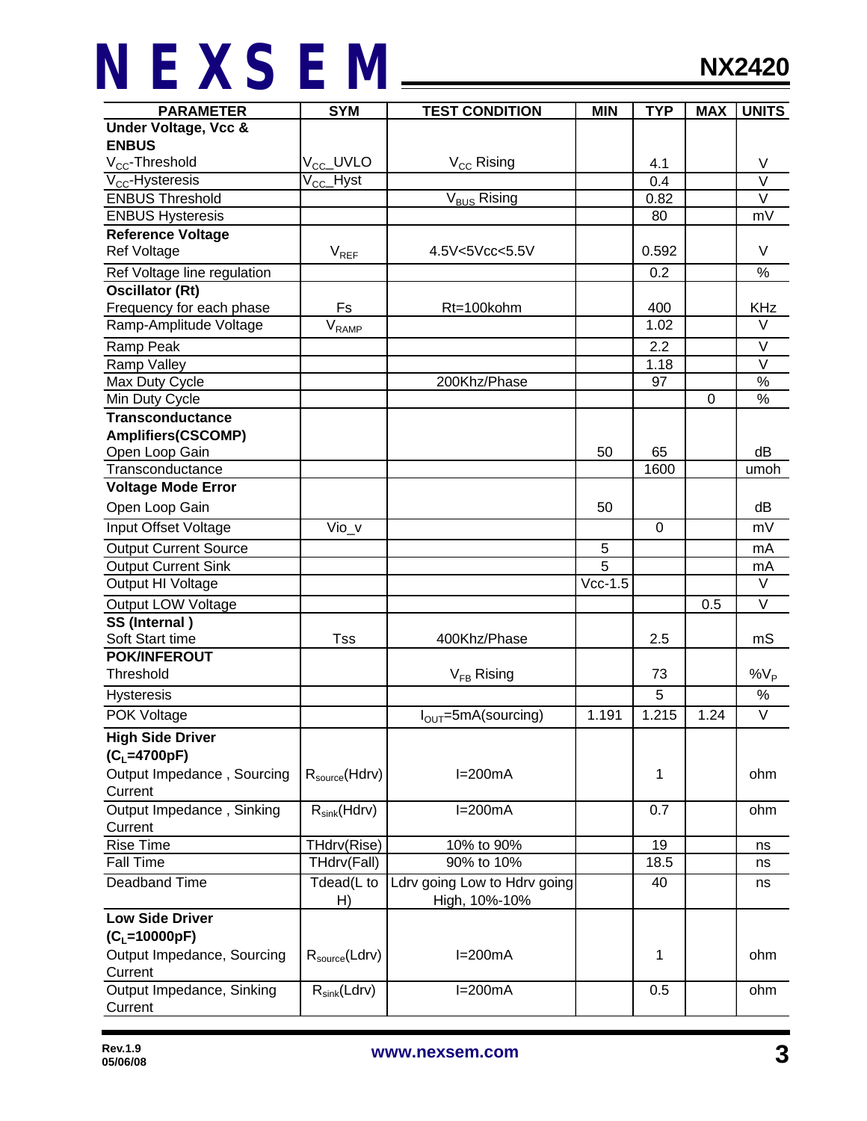| <b>PARAMETER</b>                | <b>SYM</b>                 | <b>TEST CONDITION</b>                         | <b>MIN</b> | <b>TYP</b>     | <b>MAX</b> | <b>UNITS</b> |
|---------------------------------|----------------------------|-----------------------------------------------|------------|----------------|------------|--------------|
| <b>Under Voltage, Vcc &amp;</b> |                            |                                               |            |                |            |              |
| <b>ENBUS</b>                    |                            |                                               |            |                |            |              |
| V <sub>CC</sub> -Threshold      | V <sub>CC</sub> _UVLO      | V <sub>CC</sub> Rising                        |            | 4.1            |            | V            |
| $V_{CC}$ -Hysteresis            | V <sub>CC</sub> _Hyst      |                                               |            | 0.4            |            | $\vee$       |
| <b>ENBUS Threshold</b>          |                            | V <sub>BUS</sub> Rising                       |            | 0.82           |            | $\vee$       |
| <b>ENBUS Hysteresis</b>         |                            |                                               |            | 80             |            | mV           |
| <b>Reference Voltage</b>        |                            |                                               |            |                |            |              |
| <b>Ref Voltage</b>              | $V_{REF}$                  | 4.5V<5Vcc<5.5V                                |            | 0.592          |            | V            |
| Ref Voltage line regulation     |                            |                                               |            | 0.2            |            | %            |
| <b>Oscillator (Rt)</b>          |                            |                                               |            |                |            |              |
| Frequency for each phase        | Fs                         | Rt=100kohm                                    |            | 400            |            | <b>KHz</b>   |
| Ramp-Amplitude Voltage          | $V_{\sf RAMP}$             |                                               |            | 1.02           |            | $\vee$       |
| Ramp Peak                       |                            |                                               |            | 2.2            |            | V            |
| Ramp Valley                     |                            |                                               |            | 1.18           |            | $\vee$       |
| Max Duty Cycle                  |                            | 200Khz/Phase                                  |            | 97             |            | $\%$         |
| Min Duty Cycle                  |                            |                                               |            |                | 0          | $\%$         |
| <b>Transconductance</b>         |                            |                                               |            |                |            |              |
| <b>Amplifiers(CSCOMP)</b>       |                            |                                               |            |                |            |              |
| Open Loop Gain                  |                            |                                               | 50         | 65             |            | dB           |
| Transconductance                |                            |                                               |            | 1600           |            | umoh         |
| <b>Voltage Mode Error</b>       |                            |                                               |            |                |            |              |
| Open Loop Gain                  |                            |                                               | 50         |                |            | dB           |
| Input Offset Voltage            | Vio_v                      |                                               |            | $\overline{0}$ |            | mV           |
| <b>Output Current Source</b>    |                            |                                               | 5          |                |            | mA           |
| <b>Output Current Sink</b>      |                            |                                               | 5          |                |            | mA           |
| Output HI Voltage               |                            |                                               | $Vcc-1.5$  |                |            | V            |
| <b>Output LOW Voltage</b>       |                            |                                               |            |                | 0.5        | $\vee$       |
| SS (Internal)                   |                            |                                               |            |                |            |              |
| Soft Start time                 | <b>Tss</b>                 | 400Khz/Phase                                  |            | 2.5            |            | mS           |
| <b>POK/INFEROUT</b>             |                            |                                               |            |                |            |              |
| Threshold                       |                            | $V_{FB}$ Rising                               |            | 73             |            | $\%V_P$      |
| Hysteresis                      |                            |                                               |            | 5              |            | $\%$         |
| POK Voltage                     |                            | $I_{\text{OUT}}$ =5mA(sourcing)               | 1.191      | 1.215          | 1.24       | $\vee$       |
| <b>High Side Driver</b>         |                            |                                               |            |                |            |              |
| $(C_L = 4700pF)$                |                            |                                               |            |                |            |              |
| Output Impedance, Sourcing      | $R_{\text{source}}(Hdrv)$  | $I=200mA$                                     |            | 1              |            | ohm          |
| Current                         |                            |                                               |            |                |            |              |
| Output Impedance, Sinking       | $R_{sink}(Hdrv)$           | $I=200mA$                                     |            | 0.7            |            | ohm          |
| Current                         |                            |                                               |            |                |            |              |
| Rise Time                       | THdrv(Rise)                | 10% to 90%                                    |            | 19             |            | ns           |
| <b>Fall Time</b>                | THdrv(Fall)                | 90% to 10%                                    |            | 18.5           |            | ns           |
| Deadband Time                   | Tdead(L to<br>H)           | Ldrv going Low to Hdrv going<br>High, 10%-10% |            | 40             |            | ns           |
| <b>Low Side Driver</b>          |                            |                                               |            |                |            |              |
| $(C_L = 10000pF)$               |                            |                                               |            |                |            |              |
| Output Impedance, Sourcing      | R <sub>source</sub> (Ldrv) | $I=200mA$                                     |            | 1              |            | ohm          |
| Current                         |                            |                                               |            |                |            |              |
| Output Impedance, Sinking       | $R_{sink}(Ldrv)$           | $I=200mA$                                     |            | 0.5            |            | ohm          |
| Current                         |                            |                                               |            |                |            |              |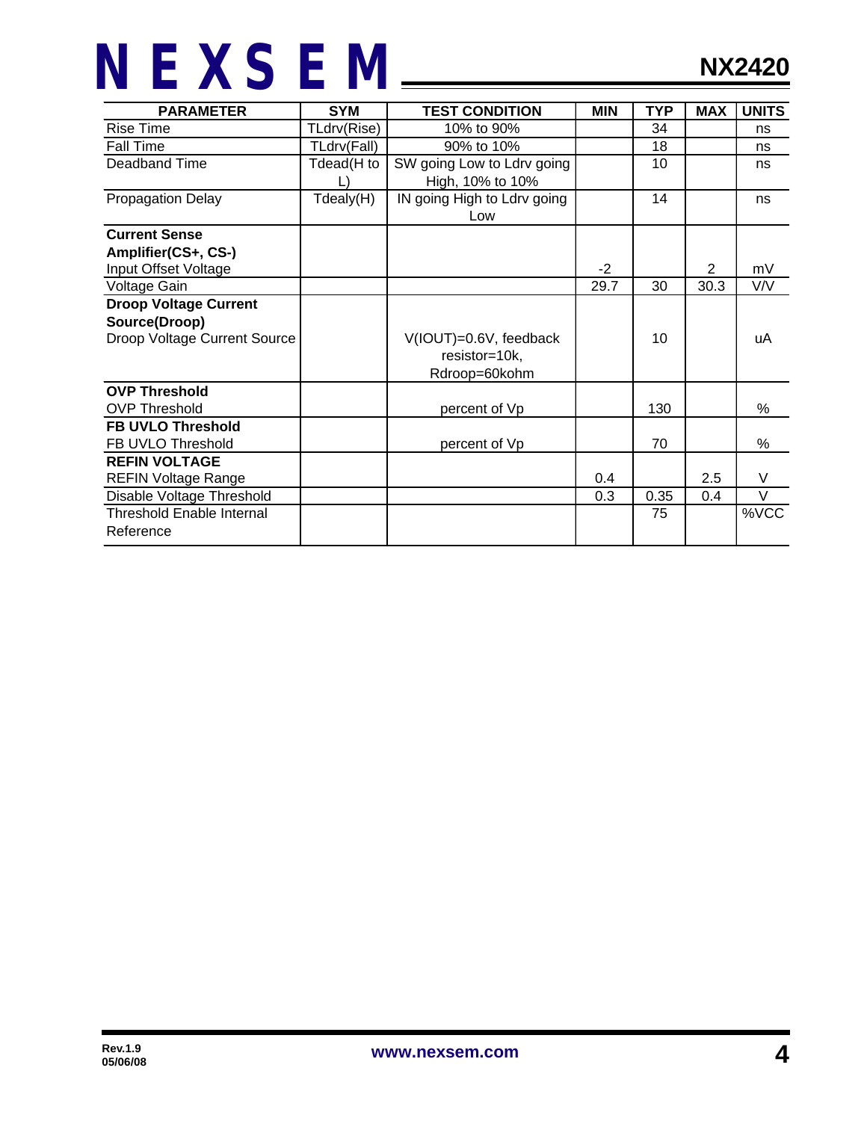| <b>PARAMETER</b>                 | <b>SYM</b>  | <b>TEST CONDITION</b>       | <b>MIN</b> | <b>TYP</b> | <b>MAX</b>     | <b>UNITS</b> |
|----------------------------------|-------------|-----------------------------|------------|------------|----------------|--------------|
| <b>Rise Time</b>                 | TLdrv(Rise) | 10% to 90%                  |            | 34         |                | ns           |
| <b>Fall Time</b>                 | TLdrv(Fall) | 90% to 10%                  |            | 18         |                | ns           |
| Deadband Time                    | Tdead(H to  | SW going Low to Ldrv going  |            | 10         |                | ns           |
|                                  |             | High, 10% to 10%            |            |            |                |              |
| <b>Propagation Delay</b>         | Tdealy(H)   | IN going High to Ldrv going |            | 14         |                | ns           |
|                                  |             | Low                         |            |            |                |              |
| <b>Current Sense</b>             |             |                             |            |            |                |              |
| Amplifier(CS+, CS-)              |             |                             |            |            |                |              |
| Input Offset Voltage             |             |                             | $-2$       |            | $\overline{2}$ | mV           |
| Voltage Gain                     |             |                             | 29.7       | 30         | 30.3           | V/V          |
| <b>Droop Voltage Current</b>     |             |                             |            |            |                |              |
| Source(Droop)                    |             |                             |            |            |                |              |
| Droop Voltage Current Source     |             | V(IOUT)=0.6V, feedback      |            | 10         |                | uA           |
|                                  |             | resistor=10k,               |            |            |                |              |
|                                  |             | Rdroop=60kohm               |            |            |                |              |
| <b>OVP Threshold</b>             |             |                             |            |            |                |              |
| <b>OVP Threshold</b>             |             | percent of Vp               |            | 130        |                | %            |
| <b>FB UVLO Threshold</b>         |             |                             |            |            |                |              |
| FB UVLO Threshold                |             | percent of Vp               |            | 70         |                | %            |
| <b>REFIN VOLTAGE</b>             |             |                             |            |            |                |              |
| <b>REFIN Voltage Range</b>       |             |                             | 0.4        |            | 2.5            | V            |
| Disable Voltage Threshold        |             |                             | 0.3        | 0.35       | 0.4            | $\vee$       |
| <b>Threshold Enable Internal</b> |             |                             |            | 75         |                | %VCC         |
| Reference                        |             |                             |            |            |                |              |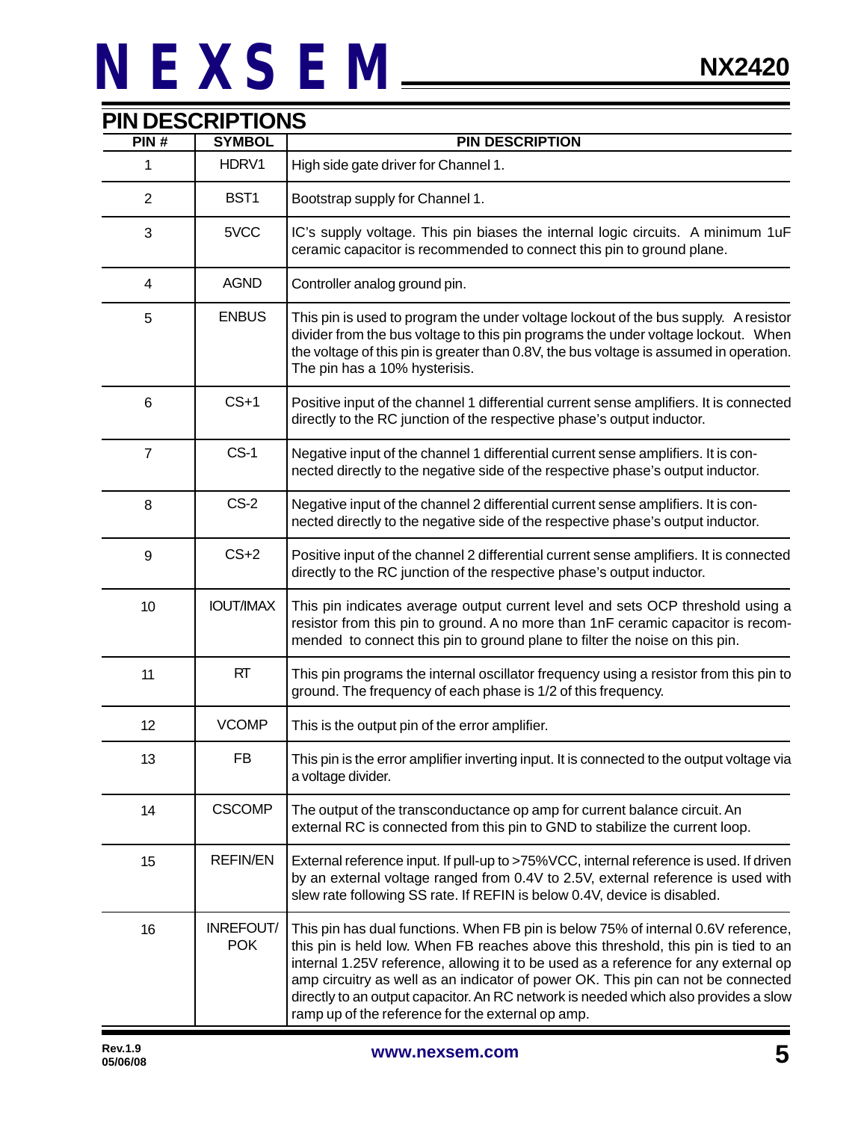| PIN#            | <b>SYMBOL</b>                  | <b>PIN DESCRIPTION</b>                                                                                                                                                                                                                                                                                                                                                                                                                                                                         |  |
|-----------------|--------------------------------|------------------------------------------------------------------------------------------------------------------------------------------------------------------------------------------------------------------------------------------------------------------------------------------------------------------------------------------------------------------------------------------------------------------------------------------------------------------------------------------------|--|
| 1               | HDRV1                          | High side gate driver for Channel 1.                                                                                                                                                                                                                                                                                                                                                                                                                                                           |  |
| $\overline{2}$  | BST1                           | Bootstrap supply for Channel 1.                                                                                                                                                                                                                                                                                                                                                                                                                                                                |  |
| 3               | 5VCC                           | IC's supply voltage. This pin biases the internal logic circuits. A minimum 1uF<br>ceramic capacitor is recommended to connect this pin to ground plane.                                                                                                                                                                                                                                                                                                                                       |  |
| $\overline{4}$  | <b>AGND</b>                    | Controller analog ground pin.                                                                                                                                                                                                                                                                                                                                                                                                                                                                  |  |
| 5               | <b>ENBUS</b>                   | This pin is used to program the under voltage lockout of the bus supply. A resistor<br>divider from the bus voltage to this pin programs the under voltage lockout. When<br>the voltage of this pin is greater than 0.8V, the bus voltage is assumed in operation.<br>The pin has a 10% hysterisis.                                                                                                                                                                                            |  |
| $6\phantom{1}6$ | $CS+1$                         | Positive input of the channel 1 differential current sense amplifiers. It is connected<br>directly to the RC junction of the respective phase's output inductor.                                                                                                                                                                                                                                                                                                                               |  |
| $\overline{7}$  | $CS-1$                         | Negative input of the channel 1 differential current sense amplifiers. It is con-<br>nected directly to the negative side of the respective phase's output inductor.                                                                                                                                                                                                                                                                                                                           |  |
| 8               | $CS-2$                         | Negative input of the channel 2 differential current sense amplifiers. It is con-<br>nected directly to the negative side of the respective phase's output inductor.                                                                                                                                                                                                                                                                                                                           |  |
| 9               | $CS+2$                         | Positive input of the channel 2 differential current sense amplifiers. It is connected<br>directly to the RC junction of the respective phase's output inductor.                                                                                                                                                                                                                                                                                                                               |  |
| 10              | <b>IOUT/IMAX</b>               | This pin indicates average output current level and sets OCP threshold using a<br>resistor from this pin to ground. A no more than 1nF ceramic capacitor is recom-<br>mended to connect this pin to ground plane to filter the noise on this pin.                                                                                                                                                                                                                                              |  |
| 11              | <b>RT</b>                      | This pin programs the internal oscillator frequency using a resistor from this pin to<br>ground. The frequency of each phase is 1/2 of this frequency.                                                                                                                                                                                                                                                                                                                                         |  |
| 12              | <b>VCOMP</b>                   | This is the output pin of the error amplifier.                                                                                                                                                                                                                                                                                                                                                                                                                                                 |  |
| 13              | FB                             | This pin is the error amplifier inverting input. It is connected to the output voltage via<br>a voltage divider.                                                                                                                                                                                                                                                                                                                                                                               |  |
| 14              | <b>CSCOMP</b>                  | The output of the transconductance op amp for current balance circuit. An<br>external RC is connected from this pin to GND to stabilize the current loop.                                                                                                                                                                                                                                                                                                                                      |  |
| 15              | <b>REFIN/EN</b>                | External reference input. If pull-up to >75%VCC, internal reference is used. If driven<br>by an external voltage ranged from 0.4V to 2.5V, external reference is used with<br>slew rate following SS rate. If REFIN is below 0.4V, device is disabled.                                                                                                                                                                                                                                         |  |
| 16              | <b>INREFOUT/</b><br><b>POK</b> | This pin has dual functions. When FB pin is below 75% of internal 0.6V reference,<br>this pin is held low. When FB reaches above this threshold, this pin is tied to an<br>internal 1.25V reference, allowing it to be used as a reference for any external op<br>amp circuitry as well as an indicator of power OK. This pin can not be connected<br>directly to an output capacitor. An RC network is needed which also provides a slow<br>ramp up of the reference for the external op amp. |  |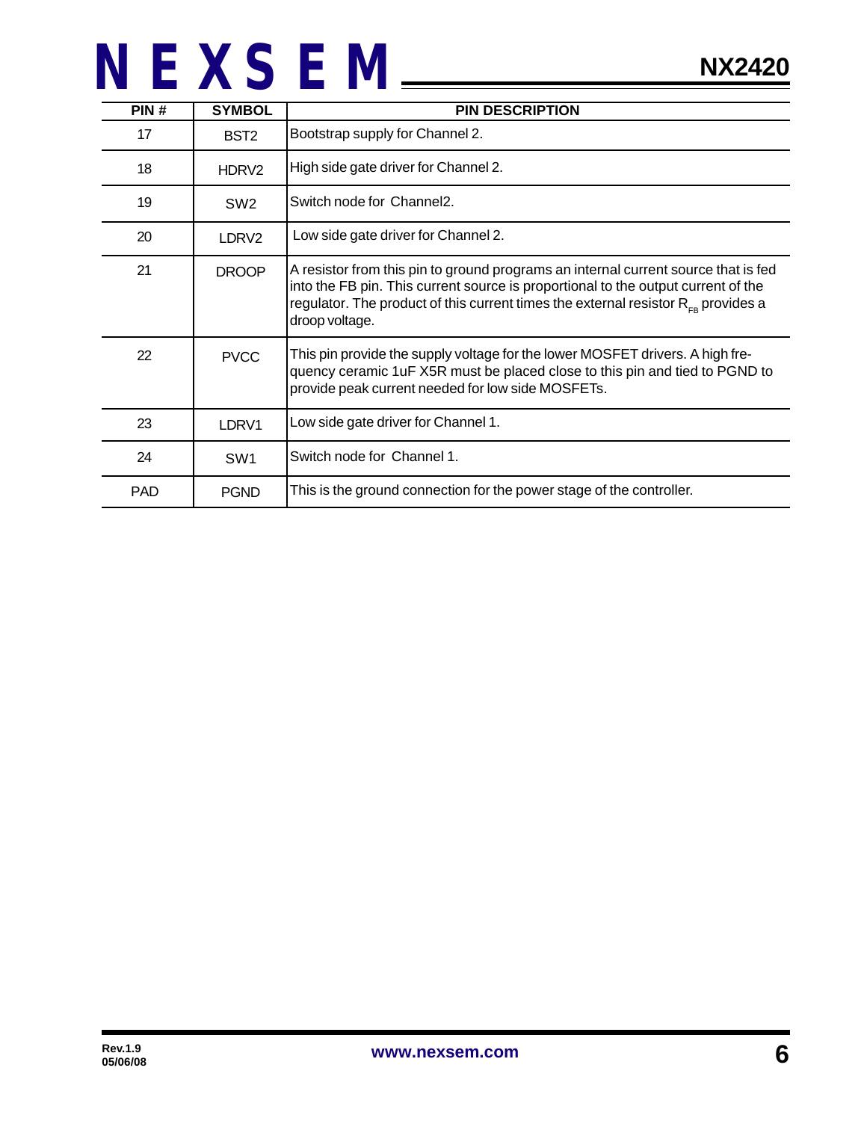| PIN#       | <b>SYMBOL</b>     | <b>PIN DESCRIPTION</b>                                                                                                                                                                                                                                                                     |
|------------|-------------------|--------------------------------------------------------------------------------------------------------------------------------------------------------------------------------------------------------------------------------------------------------------------------------------------|
| 17         | BST <sub>2</sub>  | Bootstrap supply for Channel 2.                                                                                                                                                                                                                                                            |
| 18         | HDRV <sub>2</sub> | High side gate driver for Channel 2.                                                                                                                                                                                                                                                       |
| 19         | SW <sub>2</sub>   | Switch node for Channel2.                                                                                                                                                                                                                                                                  |
| 20         | LDRV2             | Low side gate driver for Channel 2.                                                                                                                                                                                                                                                        |
| 21         | <b>DROOP</b>      | A resistor from this pin to ground programs an internal current source that is fed<br>into the FB pin. This current source is proportional to the output current of the<br>regulator. The product of this current times the external resistor $R_{\text{en}}$ provides a<br>droop voltage. |
| 22         | <b>PVCC</b>       | This pin provide the supply voltage for the lower MOSFET drivers. A high fre-<br>quency ceramic 1uF X5R must be placed close to this pin and tied to PGND to<br>provide peak current needed for low side MOSFETs.                                                                          |
| 23         | LDRV1             | Low side gate driver for Channel 1.                                                                                                                                                                                                                                                        |
| 24         | SW <sub>1</sub>   | Switch node for Channel 1.                                                                                                                                                                                                                                                                 |
| <b>PAD</b> | <b>PGND</b>       | This is the ground connection for the power stage of the controller.                                                                                                                                                                                                                       |

**NX2420**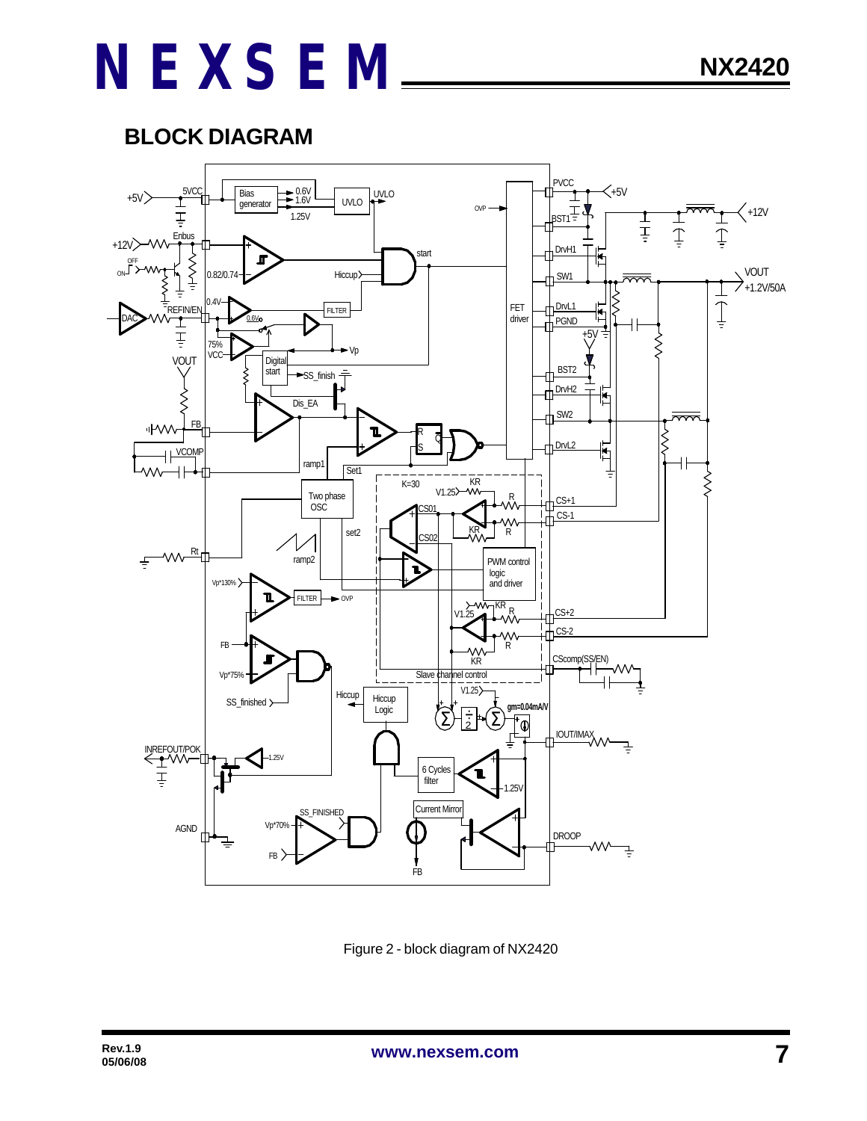### **BLOCK DIAGRAM**



Figure 2 - block diagram of NX2420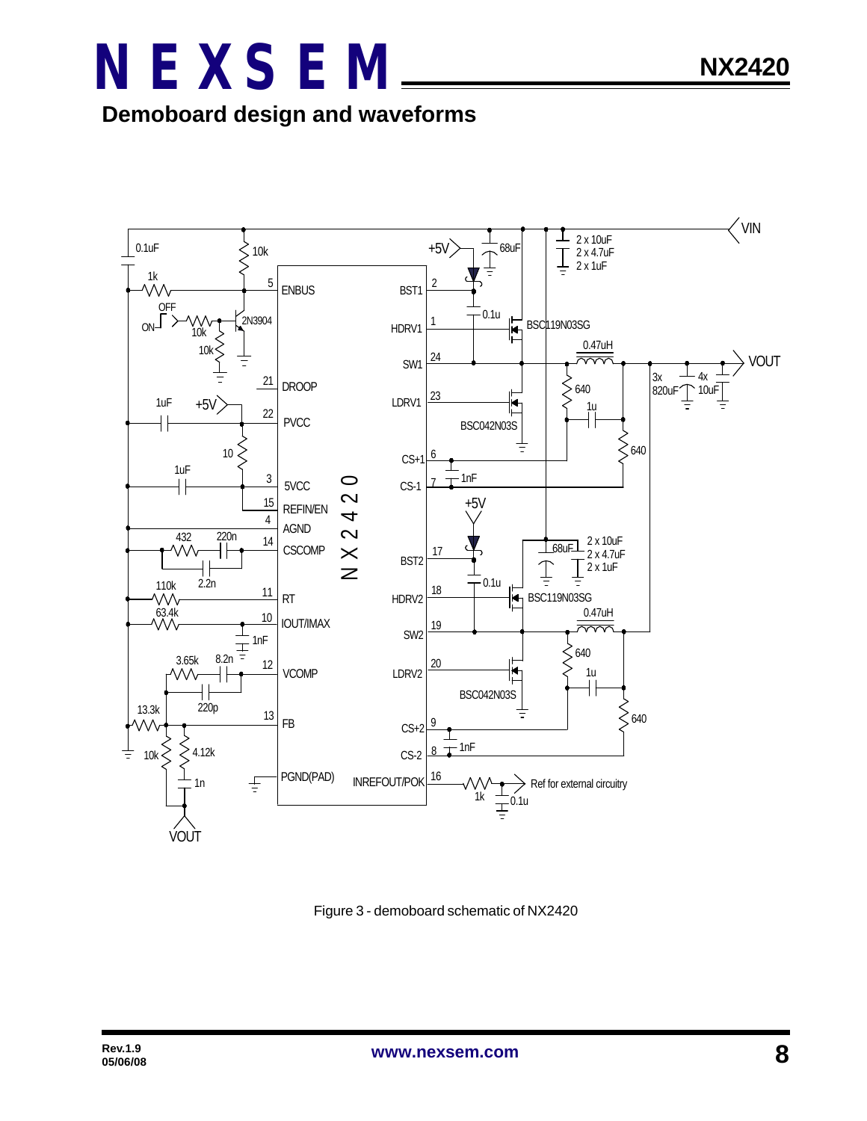



Figure 3 - demoboard schematic of NX2420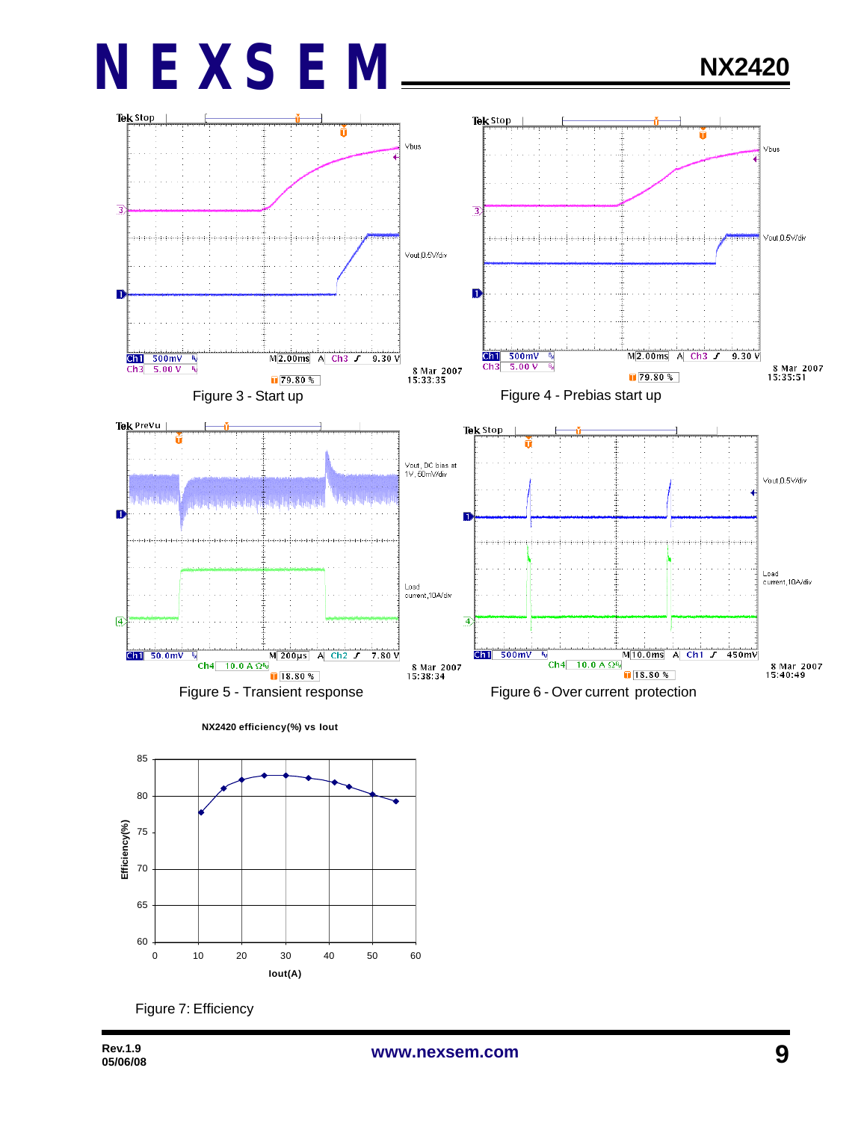# **NX2420**



0 10 20 30 40 50 60 **Iout(A)**

60

65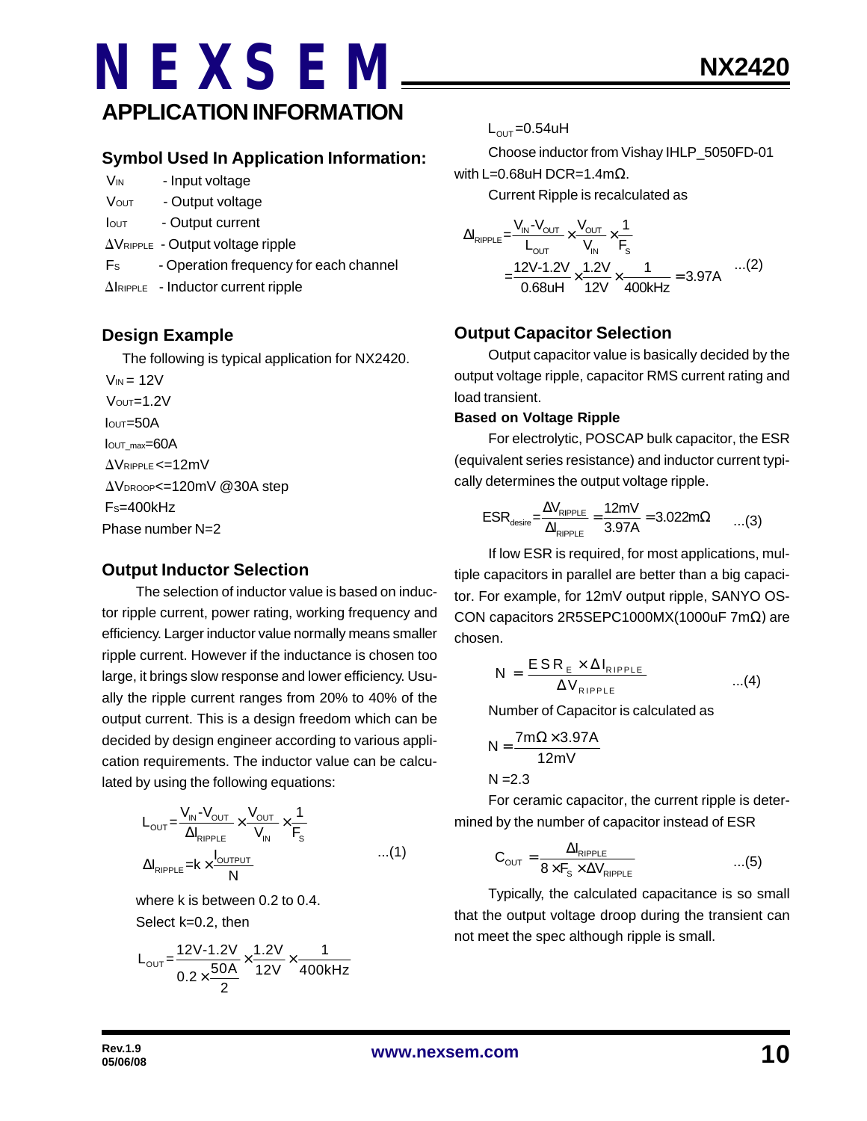# **NEXSEM APPLICATION INFORMATION**

- V<sub>IN</sub> Input voltage
- VOUT Output voltage
- Iout Output current
- $\Delta V_{RIPPLE}$  Output voltage ripple
- Fs Operation frequency for each channel
- $\Delta$ IRIPPLE Inductor current ripple

### **Design Example**

The following is typical application for NX2420.

 $V_{IN} = 12V$  $V$ OUT= $1.2V$  $I<sub>OUT</sub>=50A$ IOUT\_max=60A  $\Delta V$ RIPPLE <=12mV AVDROOP<=120mV @30A step FS=400kHz Phase number N=2

### **Output Inductor Selection**

The selection of inductor value is based on inductor ripple current, power rating, working frequency and efficiency. Larger inductor value normally means smaller ripple current. However if the inductance is chosen too large, it brings slow response and lower efficiency. Usually the ripple current ranges from 20% to 40% of the output current. This is a design freedom which can be decided by design engineer according to various application requirements. The inductor value can be calculated by using the following equations:

$$
L_{\text{OUT}} = \frac{V_{\text{IN}} - V_{\text{OUT}}}{\Delta I_{\text{RIPPLE}}} \times \frac{V_{\text{OUT}}}{V_{\text{IN}}} \times \frac{1}{F_{\text{s}}}
$$
  
 
$$
\Delta I_{\text{RIPPLE}} = k \times \frac{I_{\text{OUTPUT}}}{N} \qquad ...(1)
$$

where k is between 0.2 to 0.4. Select k=0.2, then

$$
L_{\text{OUT}} = \frac{12V - 1.2V}{0.2 \times \frac{50A}{2}} \times \frac{1.2V}{12V} \times \frac{1}{400kHz}
$$

 $L_{\text{OUT}} = 0.54$ uH

Choose inductor from Vishay IHLP\_5050FD-01 with L=0.68uH DCR=1.4mΩ.

Current Ripple is recalculated as

$$
\Delta I_{\text{RIPPLE}} = \frac{V_{\text{IN}} - V_{\text{OUT}}}{L_{\text{OUT}}} \times \frac{V_{\text{OUT}}}{V_{\text{IN}}} \times \frac{1}{F_{\text{s}}}
$$
  
= 
$$
\frac{12V - 1.2V}{0.68 \text{UH}} \times \frac{1.2V}{12V} \times \frac{1}{400 \text{kHz}} = 3.97 \text{A}
$$
...(2)

### **Output Capacitor Selection**

Output capacitor value is basically decided by the output voltage ripple, capacitor RMS current rating and load transient.

### **Based on Voltage Ripple**

For electrolytic, POSCAP bulk capacitor, the ESR (equivalent series resistance) and inductor current typically determines the output voltage ripple.

$$
ESR_{\text{desire}} = \frac{\Delta V_{\text{RIPPLE}}}{\Delta I_{\text{RIPPLE}}} = \frac{12mV}{3.97A} = 3.022m\Omega \qquad \dots (3)
$$

If low ESR is required, for most applications, multiple capacitors in parallel are better than a big capacitor. For example, for 12mV output ripple, SANYO OS-CON capacitors 2R5SEPC1000MX(1000uF 7mΩ) are chosen.

$$
N = \frac{ESR_{E} \times \Delta I_{RIPPLE}}{\Delta V_{RIPPLE}} \qquad ...(4)
$$

Number of Capacitor is calculated as

$$
N = \frac{7m\Omega \times 3.97A}{12mV}
$$

 $N = 2.3$ 

For ceramic capacitor, the current ripple is determined by the number of capacitor instead of ESR

$$
C_{\text{OUT}} = \frac{\Delta I_{\text{RIPPLE}}}{8 \times F_{\text{S}} \times \Delta V_{\text{RIPPLE}}} \qquad ...(5)
$$

Typically, the calculated capacitance is so small that the output voltage droop during the transient can not meet the spec although ripple is small.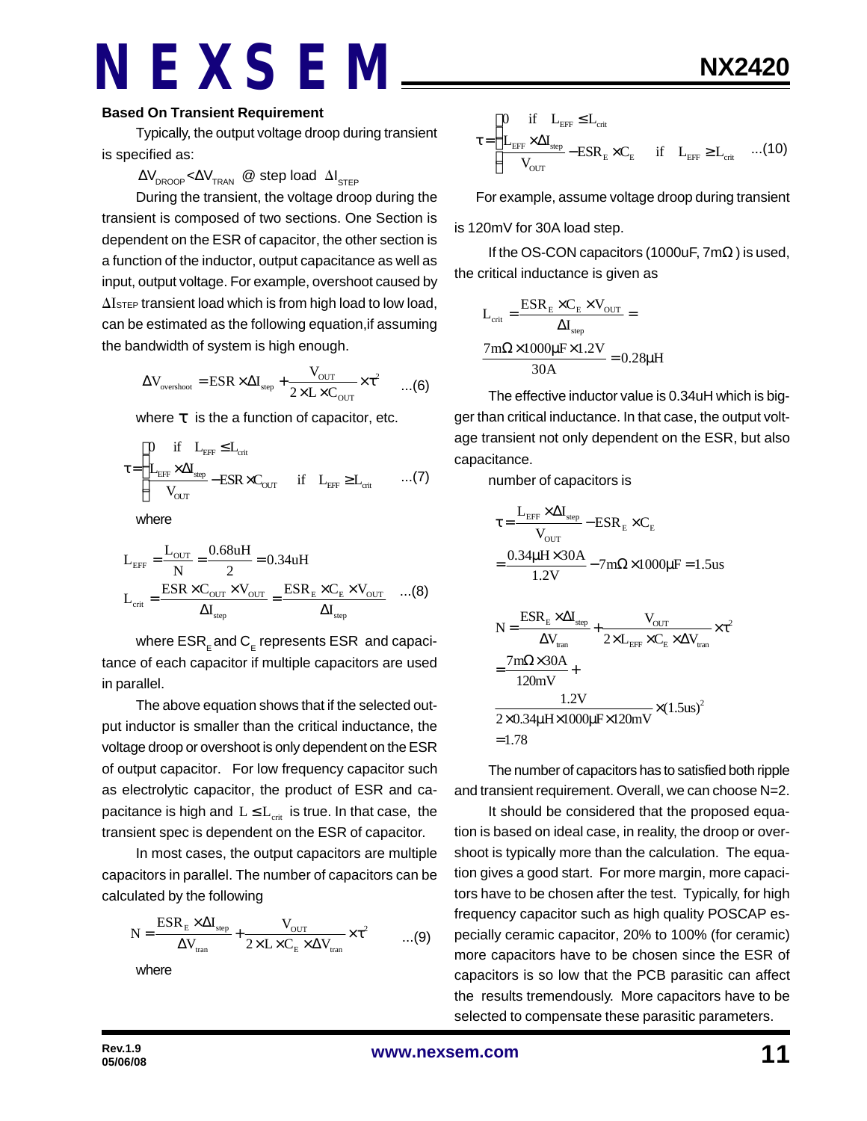#### **Based On Transient Requirement**

Typically, the output voltage droop during transient is specified as:

#### $\Delta\rm{V}_{\rm{DROOP}}$ < $\Delta\rm{V}_{\rm{TRAN}}$  @ step load  $\Delta\rm{I}_{\rm{STEP}}$

During the transient, the voltage droop during the transient is composed of two sections. One Section is dependent on the ESR of capacitor, the other section is a function of the inductor, output capacitance as well as input, output voltage. For example, overshoot caused by  $\Delta I$ <sub>STEP</sub> transient load which is from high load to low load, can be estimated as the following equation,if assuming the bandwidth of system is high enough.

$$
\Delta V_{\text{overshoot}} = \text{ESR} \times \Delta I_{\text{step}} + \frac{V_{\text{OUT}}}{2 \times L \times C_{\text{OUT}}} \times \tau^2 \qquad ...(6)
$$

where *t* is the a function of capacitor, etc.

$$
\tau \!=\! \begin{cases} \!\!\!\!\! 0 \quad \text{if} \quad L_{\text{eff}} \leq \!L_{\text{crit}} \\ \!\!\!\!\! L_{\text{eff}} \times \Delta I_{\text{step}} - \text{ESR} \times C_{\text{OUT}} \quad \text{if} \quad L_{\text{eff}} \geq \!L_{\text{crit}} \qquad ... (7) \end{cases}
$$

where

$$
L_{\text{EFF}} = \frac{L_{\text{OUT}}}{N} = \frac{0.68uH}{2} = 0.34uH
$$
  

$$
L_{\text{crit}} = \frac{ESR \times C_{\text{OUT}} \times V_{\text{OUT}}}{\Delta I_{\text{step}}} = \frac{ESR_{\text{E}} \times C_{\text{E}} \times V_{\text{OUT}}}{\Delta I_{\text{step}}} \quad ...(8)
$$

where  $\mathsf{ESR}_\mathsf{E}$  and  $\mathsf{C}_\mathsf{E}$  represents  $\mathsf{ESR}\,$  and capacitance of each capacitor if multiple capacitors are used in parallel.

The above equation shows that if the selected output inductor is smaller than the critical inductance, the voltage droop or overshoot is only dependent on the ESR of output capacitor. For low frequency capacitor such as electrolytic capacitor, the product of ESR and capacitance is high and  $L \le L_{crit}$  is true. In that case, the transient spec is dependent on the ESR of capacitor.

In most cases, the output capacitors are multiple capacitors in parallel. The number of capacitors can be calculated by the following

$$
N = \frac{ESR_{E} \times \Delta I_{\text{step}}}{\Delta V_{\text{tran}}} + \frac{V_{\text{OUT}}}{2 \times L \times C_{E} \times \Delta V_{\text{tran}}} \times \tau^{2}
$$
...(9)

where

**NX2420**

$$
\tau\!=\!\begin{cases} 0\quad\text{if}\quad L_{\text{eff}}\leq L_{\text{crit}} \\ \frac{L_{\text{eff}}\cdot\times\Delta I_{\text{step}}}{V_{\text{OUT}}}-\text{ESR}_{\text{E}}\times C_{\text{E}} & \text{if}\quad L_{\text{eff}}\geq L_{\text{crit}} \quad ... (10) \end{cases}
$$

For example, assume voltage droop during transient

is 120mV for 30A load step.

If the OS-CON capacitors (1000uF,  $7m\Omega$ ) is used, the critical inductance is given as

$$
L_{\text{crit}} = \frac{ESR_{\text{E}} \times C_{\text{E}} \times V_{\text{OUT}}}{\Delta I_{\text{step}}} =
$$

$$
\frac{7\text{m}\Omega \times 1000\mu\text{F} \times 1.2V}{30\text{A}} = 0.28\mu\text{H}
$$

The effective inductor value is 0.34uH which is bigger than critical inductance. In that case, the output voltage transient not only dependent on the ESR, but also capacitance.

number of capacitors is

$$
\tau = \frac{L_{\text{EFF}} \times \Delta I_{\text{step}}}{V_{\text{OUT}}} - \text{ESR}_{\text{E}} \times C_{\text{E}}
$$
  
= 
$$
\frac{0.34 \mu H \times 30 A}{1.2 V} - 7 \text{m}\Omega \times 1000 \mu F = 1.5 \text{us}
$$
  

$$
N = \frac{\text{ESR}_{\text{E}} \times \Delta I_{\text{step}}}{\Delta V_{\text{tran}}} + \frac{V_{\text{OUT}}}{2 \times L_{\text{EFF}} \times C_{\text{E}} \times \Delta V_{\text{tran}}} \times \tau^{2}
$$
  
= 
$$
\frac{7 \text{m}\Omega \times 30 A}{120 \text{mV}} + \frac{1.2 V}{2 \times 0.34 \mu H \times 1000 \mu F \times 120 \text{mV}} \times (1.5 \text{us})^{2}
$$
  
= 1.78

The number of capacitors has to satisfied both ripple and transient requirement. Overall, we can choose N=2.

It should be considered that the proposed equation is based on ideal case, in reality, the droop or overshoot is typically more than the calculation. The equation gives a good start. For more margin, more capacitors have to be chosen after the test. Typically, for high frequency capacitor such as high quality POSCAP especially ceramic capacitor, 20% to 100% (for ceramic) more capacitors have to be chosen since the ESR of capacitors is so low that the PCB parasitic can affect the results tremendously. More capacitors have to be selected to compensate these parasitic parameters.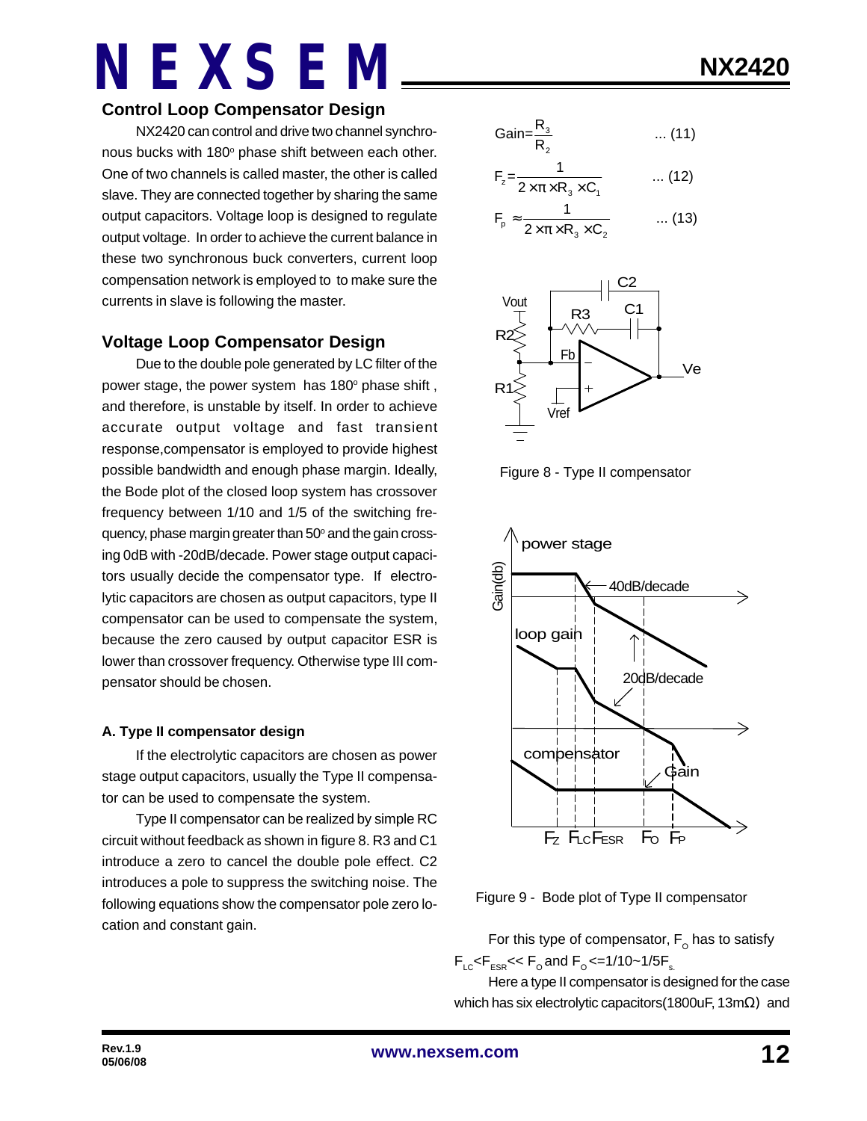### **Control Loop Compensator Design**

NX2420 can control and drive two channel synchronous bucks with 180° phase shift between each other. One of two channels is called master, the other is called slave. They are connected together by sharing the same output capacitors. Voltage loop is designed to regulate output voltage. In order to achieve the current balance in these two synchronous buck converters, current loop compensation network is employed to to make sure the currents in slave is following the master.

### **Voltage Loop Compensator Design**

Due to the double pole generated by LC filter of the power stage, the power system has 180° phase shift, and therefore, is unstable by itself. In order to achieve accurate output voltage and fast transient response,compensator is employed to provide highest possible bandwidth and enough phase margin. Ideally, the Bode plot of the closed loop system has crossover frequency between 1/10 and 1/5 of the switching frequency, phase margin greater than 50° and the gain crossing 0dB with -20dB/decade. Power stage output capacitors usually decide the compensator type. If electrolytic capacitors are chosen as output capacitors, type II compensator can be used to compensate the system, because the zero caused by output capacitor ESR is lower than crossover frequency. Otherwise type III compensator should be chosen.

### **A. Type II compensator design**

If the electrolytic capacitors are chosen as power stage output capacitors, usually the Type II compensator can be used to compensate the system.

Type II compensator can be realized by simple RC circuit without feedback as shown in figure 8. R3 and C1 introduce a zero to cancel the double pole effect. C2 introduces a pole to suppress the switching noise. The following equations show the compensator pole zero location and constant gain.

$$
NX2420
$$

$$
Gain = \frac{R_3}{R_2} \qquad \qquad \dots (11)
$$

$$
F_{z} = \frac{1}{2 \times \pi \times R_{3} \times C_{1}} \qquad ... (12)
$$

$$
F_p \approx \frac{1}{2 \times \pi \times R_3 \times C_2} \qquad \dots (13)
$$



Figure 8 - Type II compensator



Figure 9 - Bode plot of Type II compensator

For this type of compensator,  $\mathsf{F}_\mathsf{o}$  has to satisfy  $F_{\text{LC}}$ < $F_{\text{FSR}}$ << $F_{\text{o}}$  and  $F_{\text{o}}$  <=1/10~1/5 $F_{\text{s}}$ .

Here a type II compensator is designed for the case which has six electrolytic capacitors(1800uF, 13mΩ) and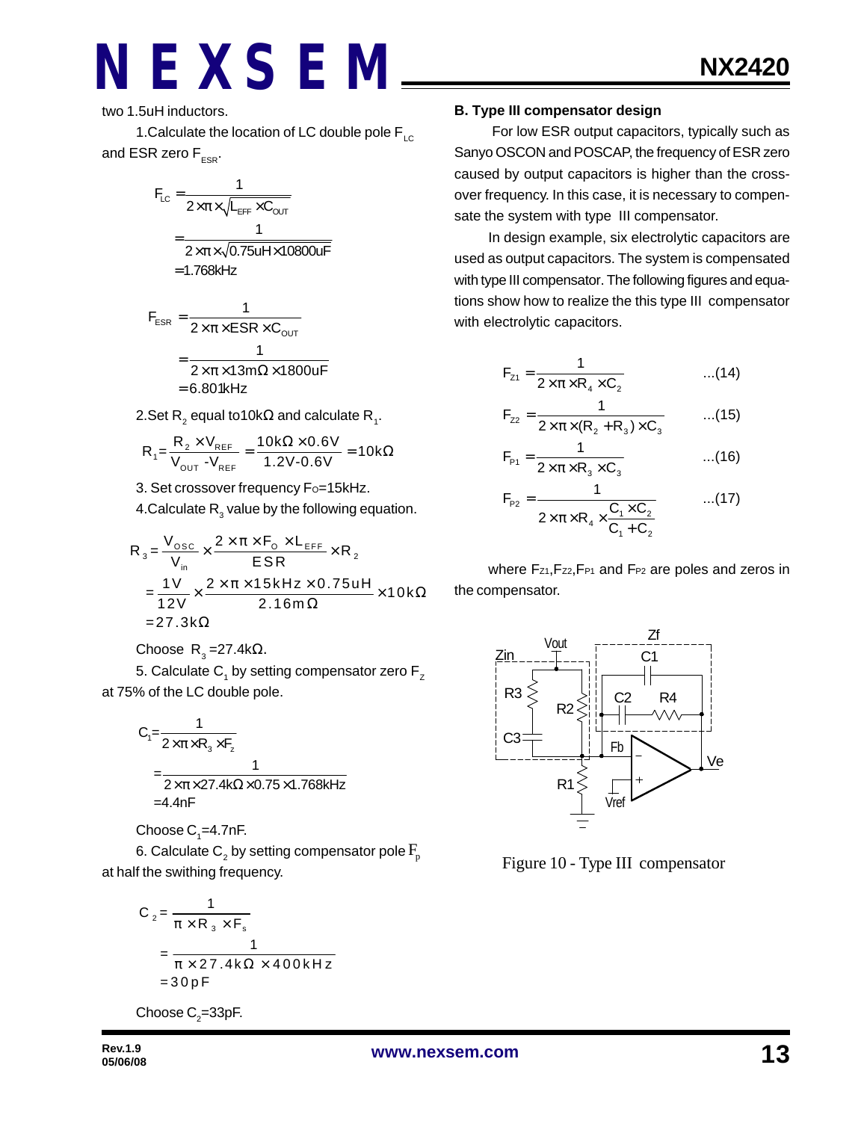two 1.5uH inductors.

1. Calculate the location of LC double pole  $F_{\text{LC}}$ and ESR zero  $F_{ESR}$ .

$$
F_{LC} = \frac{1}{2 \times \pi \times \sqrt{L_{EFF} \times C_{OUT}}}
$$

$$
= \frac{1}{2 \times \pi \times \sqrt{0.75 u H \times 10800 u F}}
$$

$$
= 1.768 kHz
$$

$$
F_{ESR} = \frac{1}{2 \times \pi \times ESR \times C_{OUT}}
$$

$$
= \frac{1}{2 \times \pi \times 13m\Omega \times 1800uF}
$$

$$
= 6.801kHz
$$

2.Set R $_2$  equal to10k $\Omega$  and calculate R $_{_1}$ .

$$
R_{1} = \frac{R_{2} \times V_{REF}}{V_{OUT} - V_{REF}} = \frac{10k\Omega \times 0.6V}{1.2V - 0.6V} = 10k\Omega
$$

3. Set crossover frequency Fo=15kHz.

4.Calculate  $\mathsf{R}_{_{3}}$  value by the following equation.

$$
R_{3} = \frac{V_{\text{osc}}}{V_{\text{in}}} \times \frac{2 \times \pi \times F_{\text{o}} \times L_{\text{EFF}}}{ESR} \times R_{2}
$$
  
= 
$$
\frac{1V}{12V} \times \frac{2 \times \pi \times 15kHz \times 0.75uH}{2.16m\Omega} \times 10k\Omega
$$
  
= 27.3k $\Omega$ 

Choose R<sub>3</sub>=27.4kΩ.

5. Calculate  $\mathsf{C}_\mathsf{1}$  by setting compensator zero  $\mathsf{F}_\mathsf{z}$ at 75% of the LC double pole.

$$
C_1 = \frac{1}{2 \times \pi \times R_3 \times F_2}
$$
  
= 
$$
\frac{1}{2 \times \pi \times 27.4k\Omega \times 0.75 \times 1.768kHz}
$$
  
= 4.4nF

Choose  $\mathsf{C}_\text{\tiny{1}}$ =4.7nF.

6. Calculate  $\mathsf{C}_\mathsf{2}$  by setting compensator pole  $\mathrm{F}_\mathsf{p}$ at half the swithing frequency.

$$
C_2 = \frac{1}{\pi \times R_3 \times F_s}
$$
  
= 
$$
\frac{1}{\pi \times 27.4 \text{ k}\Omega \times 400 \text{ kHz}}
$$
  
= 30 pF

Choose  $\mathsf{C}_2$ =33pF.

#### **B. Type III compensator design**

 For low ESR output capacitors, typically such as Sanyo OSCON and POSCAP, the frequency of ESR zero caused by output capacitors is higher than the crossover frequency. In this case, it is necessary to compensate the system with type III compensator.

In design example, six electrolytic capacitors are used as output capacitors. The system is compensated with type III compensator. The following figures and equations show how to realize the this type III compensator with electrolytic capacitors.

$$
F_{z_1} = \frac{1}{2 \times \pi \times R_4 \times C_2}
$$
...(14)

$$
F_{z2} = \frac{1}{2 \times \pi \times (R_2 + R_3) \times C_3}
$$
...(15)

$$
F_{p_1} = \frac{1}{2 \times \pi \times R_3 \times C_3}
$$
...(16)

$$
F_{p_2} = \frac{1}{2 \times \pi \times R_4 \times \frac{C_1 \times C_2}{C_1 + C_2}}
$$
...(17)

where Fz1, Fz2, FP1 and FP2 are poles and zeros in the compensator.



Figure 10 - Type III compensator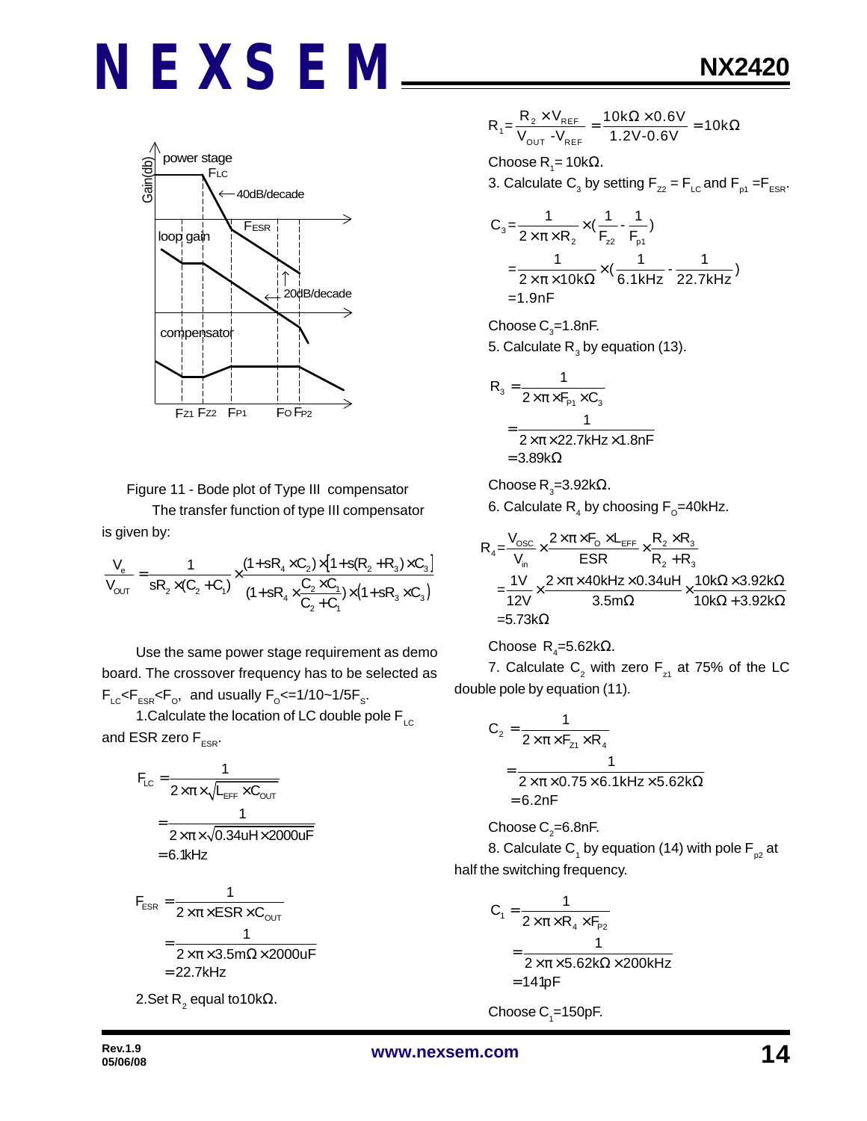

Figure 11 - Bode plot of Type III compensator

The transfer function of type III compensator is given by:

$$
\frac{V_e}{V_{OUT}} = \frac{1}{sR_2 \times (C_2 + C_1)} \times \frac{(1 + sR_4 \times C_2) \times [1 + s(R_2 + R_3) \times C_3]}{(1 + sR_4 \times \frac{C_2 \times C_1}{C_2 + C_1}) \times (1 + sR_3 \times C_3)}
$$

Use the same power stage requirement as demo board. The crossover frequency has to be selected as  $F_{LC}$ < $F_{ESR}$ < $F_{O}$ , and usually  $F_{O}$ <=1/10~1/5 $F_{S}$ .

1. Calculate the location of LC double pole  $F_{LC}$ and ESR zero  $F_{ESR}$ .

$$
F_{LC} = \frac{1}{2 \times \pi \times \sqrt{L_{EFF} \times C_{OUT}}}
$$

$$
= \frac{1}{2 \times \pi \times \sqrt{0.34 u H \times 2000 u F}}
$$

$$
= 6.1 k Hz
$$

$$
F_{ESR} = \frac{1}{2 \times \pi \times ESR \times C_{OUT}}
$$

$$
= \frac{1}{2 \times \pi \times 3.5 \text{m}\Omega \times 2000 \text{uF}}
$$

$$
= 22.7 \text{kHz}
$$

2.Set R<sup>2</sup> equal to10kΩ.

$$
R_1 = \frac{R_2 \times V_{REF}}{V_{OUT} - V_{REF}} = \frac{10k\Omega \times 0.6V}{1.2V - 0.6V} = 10k\Omega
$$

Choose R<sub>1</sub>= 10kΩ. 3. Calculate  $\mathsf{C}_3$  by setting  $\mathsf{F}_{z2}$  =  $\mathsf{F}_{\mathsf{LC}}$  and  $\mathsf{F}_{\mathsf{p1}}$  = $\mathsf{F}_{\mathsf{ESR}}$ .

$$
C_3 = \frac{1}{2 \times \pi \times R_2} \times (\frac{1}{F_{z2}} - \frac{1}{F_{p1}})
$$
  
=  $\frac{1}{2 \times \pi \times 10k\Omega} \times (\frac{1}{6.1kHz} - \frac{1}{22.7kHz})$   
= 1.9nF

Choose  $\text{C}_3$ =1.8nF. 5. Calculate  $\mathsf{R}_{_{3}}$  by equation (13).

$$
R_{3} = \frac{1}{2 \times \pi \times F_{P1} \times C_{3}}
$$
  
= 
$$
\frac{1}{2 \times \pi \times 22.7 \text{kHz} \times 1.8 \text{nF}}
$$
  
= 3.89k\Omega

Choose R<sub>3</sub>=3.92k $\Omega$ .

6. Calculate  $\mathsf{R}_{_4}$  by choosing  $\mathsf{F}_{_{\text{\tiny O}}}$ =40kHz.

$$
R_4 = \frac{V_{osc}}{V_{in}} \times \frac{2 \times \pi \times F_0 \times L_{EFF}}{ESR} \times \frac{R_2 \times R_3}{R_2 + R_3}
$$
  
=  $\frac{1V}{12V} \times \frac{2 \times \pi \times 40kHz \times 0.34uH}{3.5m\Omega} \times \frac{10k\Omega \times 3.92k\Omega}{10k\Omega + 3.92k\Omega}$   
= 5.73k\Omega

Choose R<sup>4</sup> =5.62kΩ.

7. Calculate  $\mathsf{C}_2^{}$  with zero  $\mathsf{F}_{\mathsf{z}^1}$  at 75% of the LC double pole by equation (11).

$$
C_2 = \frac{1}{2 \times \pi \times F_{z1} \times R_4}
$$
  
= 
$$
\frac{1}{2 \times \pi \times 0.75 \times 6.1 \text{kHz} \times 5.62 \text{k}\Omega}
$$
  
= 6.2nF

Choose C $_{\textrm{\tiny{2}}}$ =6.8nF.

8. Calculate C<sub>1</sub> by equation (14) with pole F<sub>p2</sub> at half the switching frequency.

$$
C_1 = \frac{1}{2 \times \pi \times R_4 \times F_{P2}}
$$
  
= 
$$
\frac{1}{2 \times \pi \times 5.62 k\Omega \times 200 kHz}
$$
  
= 141pF

Choose  $\mathrm{C}_\text{\tiny{1}}$ =150pF.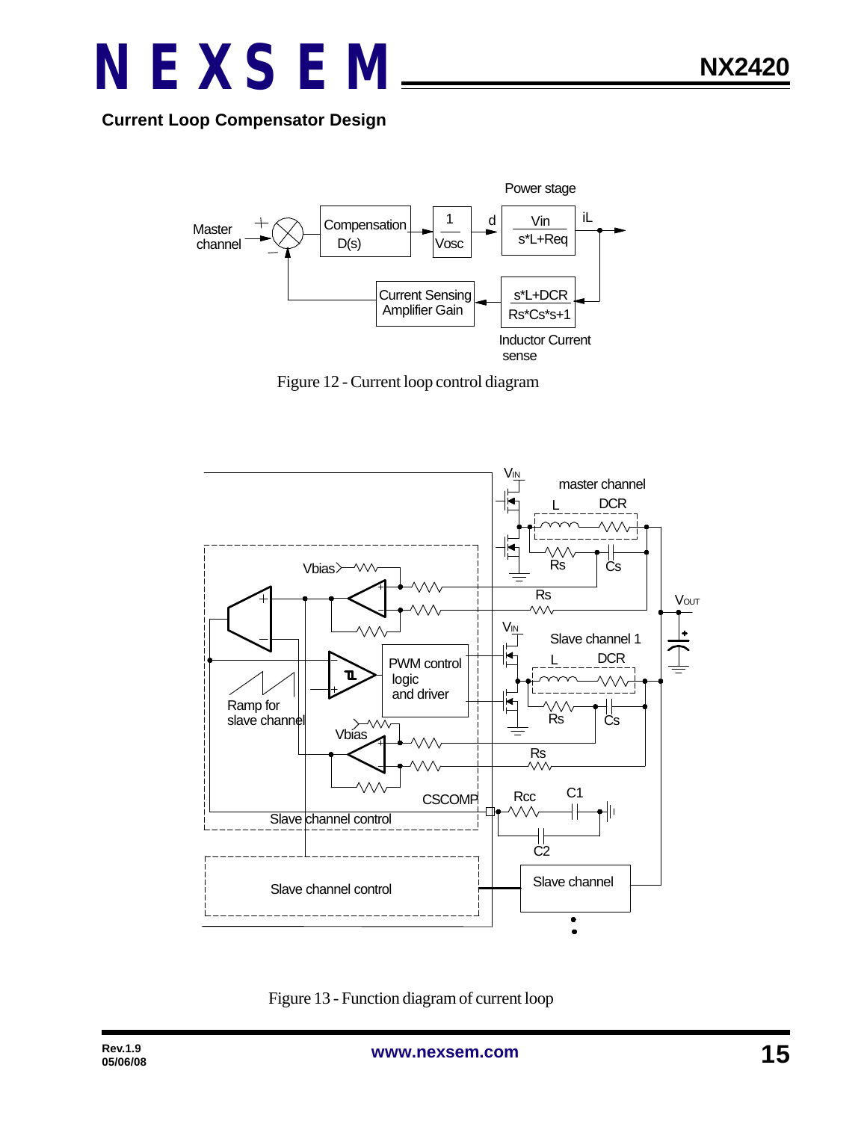

**Current Loop Compensator Design**



Figure 12 - Current loop control diagram



Figure 13 - Function diagram of current loop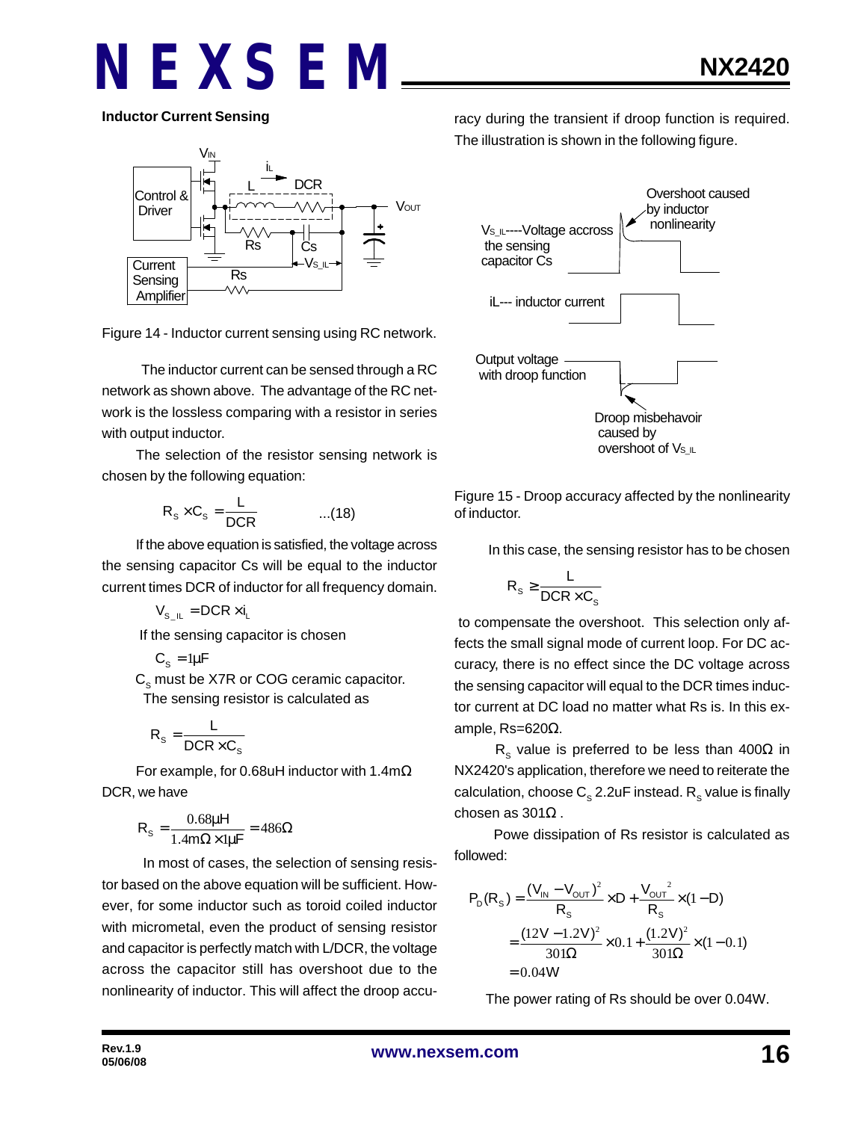**Inductor Current Sensing**



Figure 14 - Inductor current sensing using RC network.

 The inductor current can be sensed through a RC network as shown above. The advantage of the RC network is the lossless comparing with a resistor in series with output inductor.

The selection of the resistor sensing network is chosen by the following equation:

$$
R_s \times C_s = \frac{L}{DCR}
$$
 ...(18)

If the above equation is satisfied, the voltage across the sensing capacitor Cs will be equal to the inductor current times DCR of inductor for all frequency domain.

 $V_{\rm s}$   $_{\rm II}$  = DCR  $\times$  i<sub>1</sub>

If the sensing capacitor is chosen

$$
C_{s} = 1\mu F
$$

 $\textsf{C}_\text{s}$  must be X7R or COG ceramic capacitor. The sensing resistor is calculated as

$$
R_s = \frac{L}{DCR \times C_s}
$$

For example, for 0.68uH inductor with 1.4mΩ DCR, we have

$$
R_s = \frac{0.68\mu H}{1.4m\Omega \times 1\mu F} = 486\Omega
$$

 In most of cases, the selection of sensing resistor based on the above equation will be sufficient. However, for some inductor such as toroid coiled inductor with micrometal, even the product of sensing resistor and capacitor is perfectly match with L/DCR, the voltage across the capacitor still has overshoot due to the nonlinearity of inductor. This will affect the droop accuracy during the transient if droop function is required. The illustration is shown in the following figure.



Figure 15 - Droop accuracy affected by the nonlinearity of inductor.

In this case, the sensing resistor has to be chosen

$$
R_s \geq \frac{L}{DCR \times C_s}
$$

 to compensate the overshoot. This selection only affects the small signal mode of current loop. For DC accuracy, there is no effect since the DC voltage across the sensing capacitor will equal to the DCR times inductor current at DC load no matter what Rs is. In this example, Rs=620Ω.

 $\textsf{R}_{\textsf{s}}$  value is preferred to be less than 400 $\Omega$  in NX2420's application, therefore we need to reiterate the calculation, choose  $\textsf{C}_\text{s}$  2.2uF instead.  $\textsf{R}_\text{s}$  value is finally chosen as 301Ω .

 Powe dissipation of Rs resistor is calculated as followed:

$$
P_D(R_S) = \frac{(V_{IN} - V_{OUT})^2}{R_S} \times D + \frac{V_{OUT}^2}{R_S} \times (1 - D)
$$
  
= 
$$
\frac{(12V - 1.2V)^2}{301\Omega} \times 0.1 + \frac{(1.2V)^2}{301\Omega} \times (1 - 0.1)
$$
  
= 0.04W

The power rating of Rs should be over 0.04W.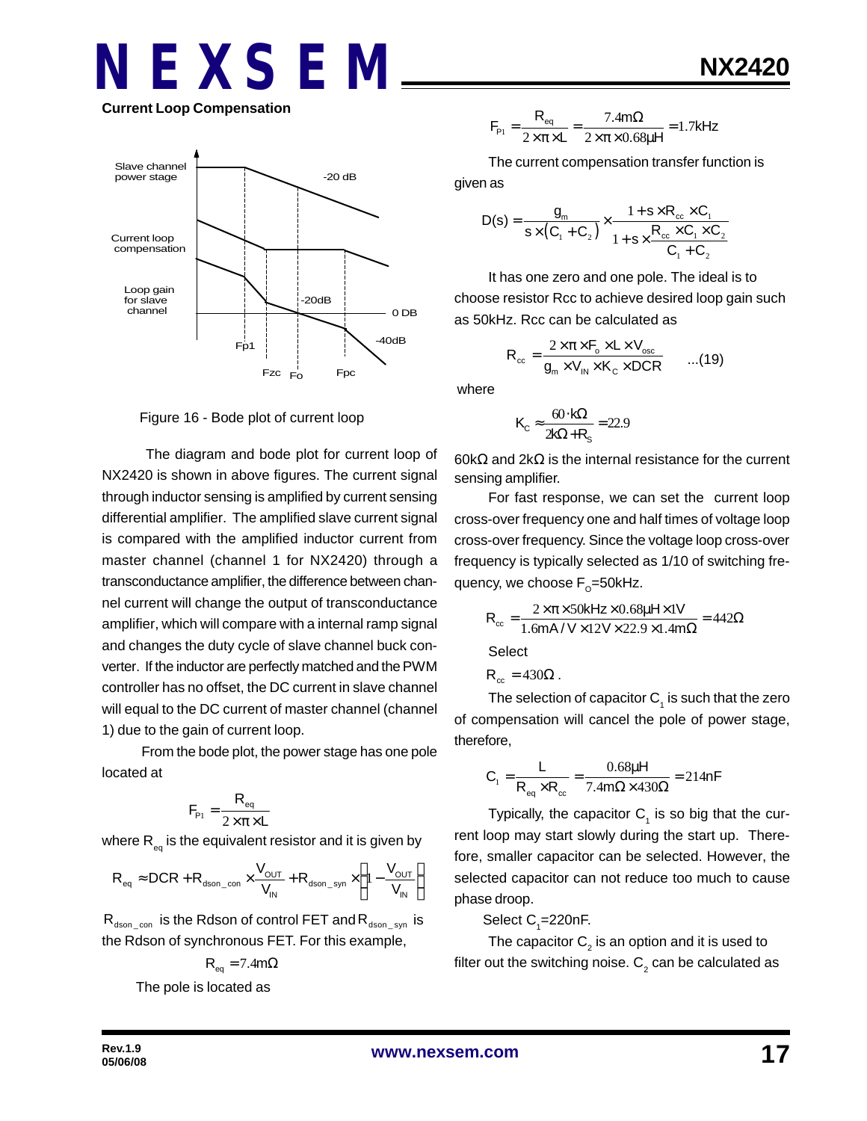# **NEXSEM Current Loop Compensation**



Figure 16 - Bode plot of current loop

 The diagram and bode plot for current loop of NX2420 is shown in above figures. The current signal through inductor sensing is amplified by current sensing differential amplifier. The amplified slave current signal is compared with the amplified inductor current from master channel (channel 1 for NX2420) through a transconductance amplifier, the difference between channel current will change the output of transconductance amplifier, which will compare with a internal ramp signal and changes the duty cycle of slave channel buck converter. If the inductor are perfectly matched and the PWM controller has no offset, the DC current in slave channel will equal to the DC current of master channel (channel 1) due to the gain of current loop.

 From the bode plot, the power stage has one pole located at

$$
F_{\rm p_1} = \frac{R_{\rm eq}}{2 \times \pi \times L}
$$

where  $\mathsf{R}_{_\mathsf{eq}}$  is the equivalent resistor and it is given by

$$
R_{\text{eq}} \approx DCR + R_{\text{dson\_con}} \times \frac{V_{\text{OUT}}}{V_{\text{IN}}} + R_{\text{dson\_syn}} \times \left(1 - \frac{V_{\text{OUT}}}{V_{\text{IN}}}\right)
$$

 $R_{dson_{con}}$  is the Rdson of control FET and  $R_{dson_{con}}$  is the Rdson of synchronous FET. For this example,

$$
R_{\text{eq}} = 7.4 \text{m}\Omega
$$

The pole is located as

$$
F_{\rm p_1} = \frac{R_{\rm eq}}{2 \times \pi \times L} = \frac{7.4 \text{ m}\Omega}{2 \times \pi \times 0.68 \mu H} = 1.7 \text{kHz}
$$

The current compensation transfer function is

given as

$$
D(s) = \frac{g_m}{s \times (C_1 + C_2)} \times \frac{1 + s \times R_{cc} \times C_1}{1 + s \times \frac{R_{cc} \times C_1 \times C_2}{C_1 + C_2}}
$$

It has one zero and one pole. The ideal is to choose resistor Rcc to achieve desired loop gain such as 50kHz. Rcc can be calculated as

$$
R_{\rm cc} = \frac{2 \times \pi \times F_{\rm o} \times L \times V_{\rm osc}}{g_{\rm m} \times V_{\rm IN} \times K_{\rm C} \times DCR} \qquad ...(19)
$$

where

$$
K_{\rm C} \approx \frac{60 \cdot k\Omega}{2k\Omega + R_{\rm s}} = 22.9
$$

60kΩ and 2kΩ is the internal resistance for the current sensing amplifier.

For fast response, we can set the current loop cross-over frequency one and half times of voltage loop cross-over frequency. Since the voltage loop cross-over frequency is typically selected as 1/10 of switching frequency, we choose F<sub>o</sub>=50kHz.

$$
R_{\infty} = \frac{2 \times \pi \times 50 \text{kHz} \times 0.68 \mu \text{Hz} \times 1 \text{V}}{1.6 \text{mA} / \text{V} \times 12 \text{V} \times 22.9 \times 1.4 \text{m}\Omega} = 442 \Omega
$$

**Select** 

$$
R_{cc} = 430\Omega.
$$

The selection of capacitor  $\mathsf{C}_\mathtt{1}$  is such that the zero of compensation will cancel the pole of power stage, therefore,

$$
C_1 = \frac{L}{R_{eq} \times R_{cc}} = \frac{0.68 \mu H}{7.4 m \Omega \times 430 \Omega} = 214 nF
$$

Typically, the capacitor  $C_1$  is so big that the current loop may start slowly during the start up. Therefore, smaller capacitor can be selected. However, the selected capacitor can not reduce too much to cause phase droop.

Select  $C_{1}$ =220nF.

The capacitor  $\mathsf{C}_2^{}$  is an option and it is used to filter out the switching noise.  ${\sf C}_2$  can be calculated as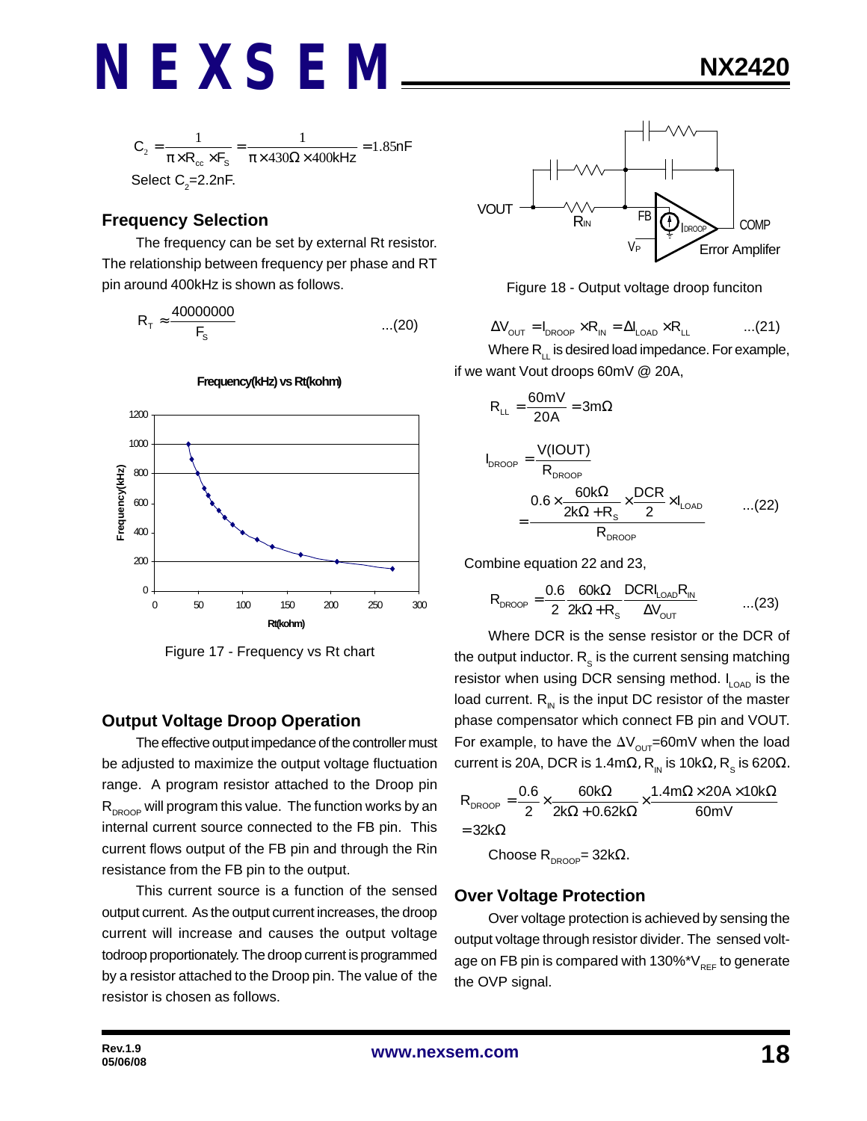

### **Frequency Selection**

The frequency can be set by external Rt resistor. The relationship between frequency per phase and RT pin around 400kHz is shown as follows.

$$
R_{\rm T} \approx \frac{40000000}{F_{\rm s}} \qquad \qquad \dots (20)
$$



**Frequency(kHz) vs Rt(kohm)**

Figure 17 - Frequency vs Rt chart

### **Output Voltage Droop Operation**

The effective output impedance of the controller must be adjusted to maximize the output voltage fluctuation range. A program resistor attached to the Droop pin  $R_{DROOP}$  will program this value. The function works by an internal current source connected to the FB pin. This current flows output of the FB pin and through the Rin resistance from the FB pin to the output.

This current source is a function of the sensed output current. As the output current increases, the droop current will increase and causes the output voltage todroop proportionately. The droop current is programmed by a resistor attached to the Droop pin. The value of the resistor is chosen as follows.



Figure 18 - Output voltage droop funciton

$$
\Delta V_{\text{OUT}} = I_{\text{DROOP}} \times R_{\text{IN}} = \Delta I_{\text{LOAD}} \times R_{\text{LL}} \qquad \qquad \dots (21)
$$

Where  $R_{\perp}$  is desired load impedance. For example, if we want Vout droops 60mV @ 20A,

$$
R_{LL} = \frac{60 \text{mV}}{20 \text{A}} = 3 \text{m}\Omega
$$
\n
$$
I_{DROOP} = \frac{V(IOUT)}{R_{DROOP}} = \frac{0.6 \times \frac{60 \text{k}\Omega}{2 \text{k}\Omega + \text{R}_s} \times \frac{DCR}{2} \times I_{LOAD}} \qquad \dots (22)
$$

DROOP

R

Combine equation 22 and 23,

 $=$ 

$$
R_{\text{DROOP}} = \frac{0.6}{2} \frac{60k\Omega}{2k\Omega + R_s} \frac{\text{DCRI}_{\text{LOAD}}R_{\text{IN}}}{\Delta V_{\text{OUT}}} \qquad \qquad \dots (23)
$$

Where DCR is the sense resistor or the DCR of the output inductor.  $\mathsf{R}_{_\mathrm{S}}$  is the current sensing matching resistor when using DCR sensing method.  $I_{\text{LOAD}}$  is the load current.  $R_{\text{in}}$  is the input DC resistor of the master phase compensator which connect FB pin and VOUT. For example, to have the  $\Delta V_{\text{out}}$ =60mV when the load current is 20A, DCR is 1.4mΩ,  $\mathsf{R}_{_{\sf IN}}$  is 10kΩ,  $\mathsf{R}_{_{\sf S}}$  is 620Ω.

$$
R_{\text{DROOP}} = \frac{0.6}{2} \times \frac{60k\Omega}{2k\Omega + 0.62k\Omega} \times \frac{1.4m\Omega \times 20A \times 10k\Omega}{60mV}
$$
  
= 32k\Omega

Choose  $R_{DROOP}$ = 32kΩ.

### **Over Voltage Protection**

Over voltage protection is achieved by sensing the output voltage through resistor divider. The sensed voltage on FB pin is compared with  $130\%$ \*V<sub>REF</sub> to generate the OVP signal.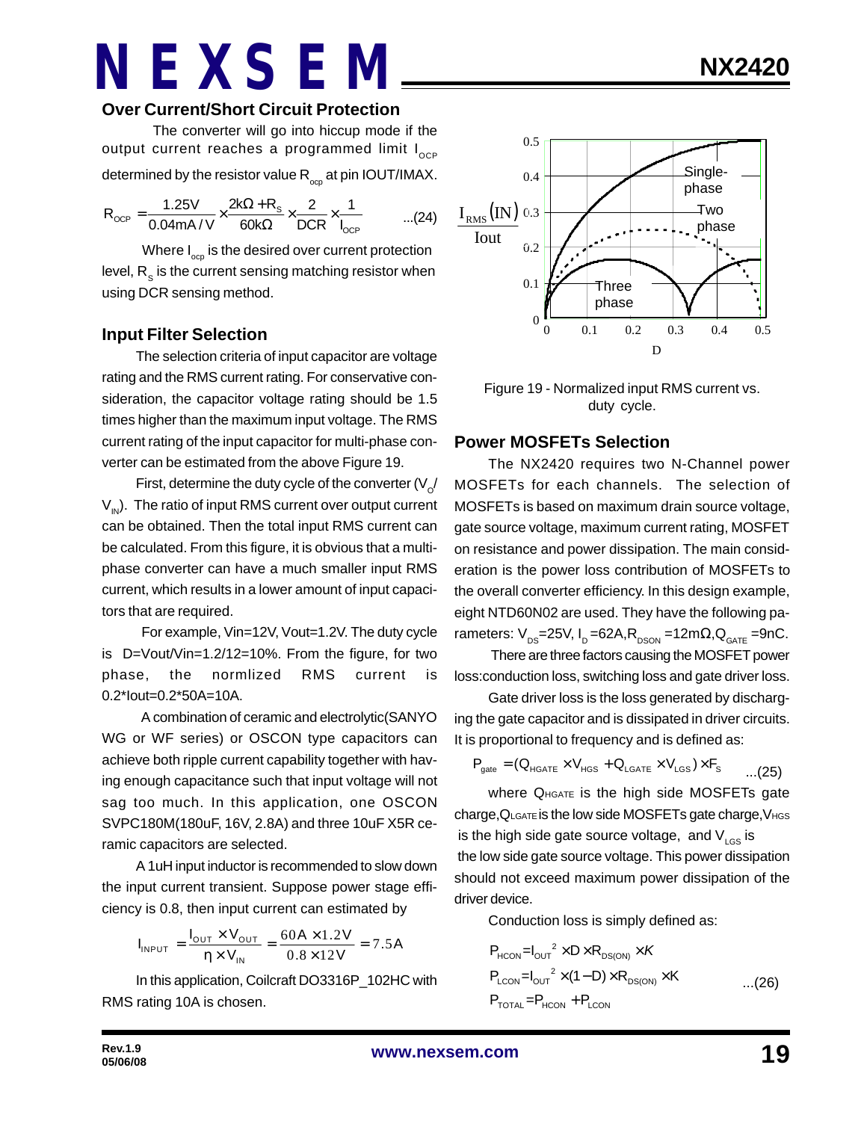### **Over Current/Short Circuit Protection**

The converter will go into hiccup mode if the output current reaches a programmed limit  $I_{\text{OCP}}$ determined by the resistor value  $\mathsf{R}_{_{\mathrm{ocp}}}$  at pin IOUT/IMAX.

$$
R_{OCP} = \frac{1.25V}{0.04mA/V} \times \frac{2k\Omega + R_s}{60k\Omega} \times \frac{2}{DCR} \times \frac{1}{I_{OCP}} \quad ...(24)
$$

Where  $I_{\text{opp}}$  is the desired over current protection level,  $\mathsf{R}_{_\mathbf{S}}$  is the current sensing matching resistor when using DCR sensing method.

### **Input Filter Selection**

The selection criteria of input capacitor are voltage rating and the RMS current rating. For conservative consideration, the capacitor voltage rating should be 1.5 times higher than the maximum input voltage. The RMS current rating of the input capacitor for multi-phase converter can be estimated from the above Figure 19.

First, determine the duty cycle of the converter (V $_{\rm \odot}$ /  $V_{\text{IN}}$ ). The ratio of input RMS current over output current can be obtained. Then the total input RMS current can be calculated. From this figure, it is obvious that a multiphase converter can have a much smaller input RMS current, which results in a lower amount of input capacitors that are required.

 For example, Vin=12V, Vout=1.2V. The duty cycle is D=Vout/Vin=1.2/12=10%. From the figure, for two phase, the normlized RMS current is 0.2\*Iout=0.2\*50A=10A.

 A combination of ceramic and electrolytic(SANYO WG or WF series) or OSCON type capacitors can achieve both ripple current capability together with having enough capacitance such that input voltage will not sag too much. In this application, one OSCON SVPC180M(180uF, 16V, 2.8A) and three 10uF X5R ceramic capacitors are selected.

A 1uH input inductor is recommended to slow down the input current transient. Suppose power stage efficiency is 0.8, then input current can estimated by

$$
I_{INPUT} = \frac{I_{OUT} \times V_{OUT}}{\eta \times V_{IN}} = \frac{60A \times 1.2V}{0.8 \times 12V} = 7.5A
$$

In this application, Coilcraft DO3316P\_102HC with RMS rating 10A is chosen.



Figure 19 - Normalized input RMS current vs. duty cycle.

#### **Power MOSFETs Selection**

The NX2420 requires two N-Channel power MOSFETs for each channels. The selection of MOSFETs is based on maximum drain source voltage, gate source voltage, maximum current rating, MOSFET on resistance and power dissipation. The main consideration is the power loss contribution of MOSFETs to the overall converter efficiency. In this design example, eight NTD60N02 are used. They have the following parameters:  $V_{DS}$ =25V, I<sub>D</sub> =62A, R<sub>DSON</sub> =12m $\Omega$ , Q<sub>GATE</sub> =9nC.

 There are three factors causing the MOSFET power loss:conduction loss, switching loss and gate driver loss.

Gate driver loss is the loss generated by discharging the gate capacitor and is dissipated in driver circuits. It is proportional to frequency and is defined as:

$$
P_{\text{gate}} = (Q_{\text{HGATE}} \times V_{\text{HGS}} + Q_{\text{LGATE}} \times V_{\text{LGS}}) \times F_{\text{s}} \qquad \dots (25)
$$

where QHGATE is the high side MOSFETs gate charge,QLGATE is the low side MOSFETs gate charge,VHGS is the high side gate source voltage, and  $V_{\text{LGS}}$  is

the low side gate source voltage. This power dissipation should not exceed maximum power dissipation of the driver device.

Conduction loss is simply defined as:

$$
P_{HCON} = I_{OUT}^2 \times D \times R_{DS(ON)} \times K
$$
  
\n
$$
P_{LCDN} = I_{OUT}^2 \times (1 - D) \times R_{DS(ON)} \times K
$$
...(26)  
\n
$$
P_{TOTAL} = P_{HCON} + P_{LCDN}
$$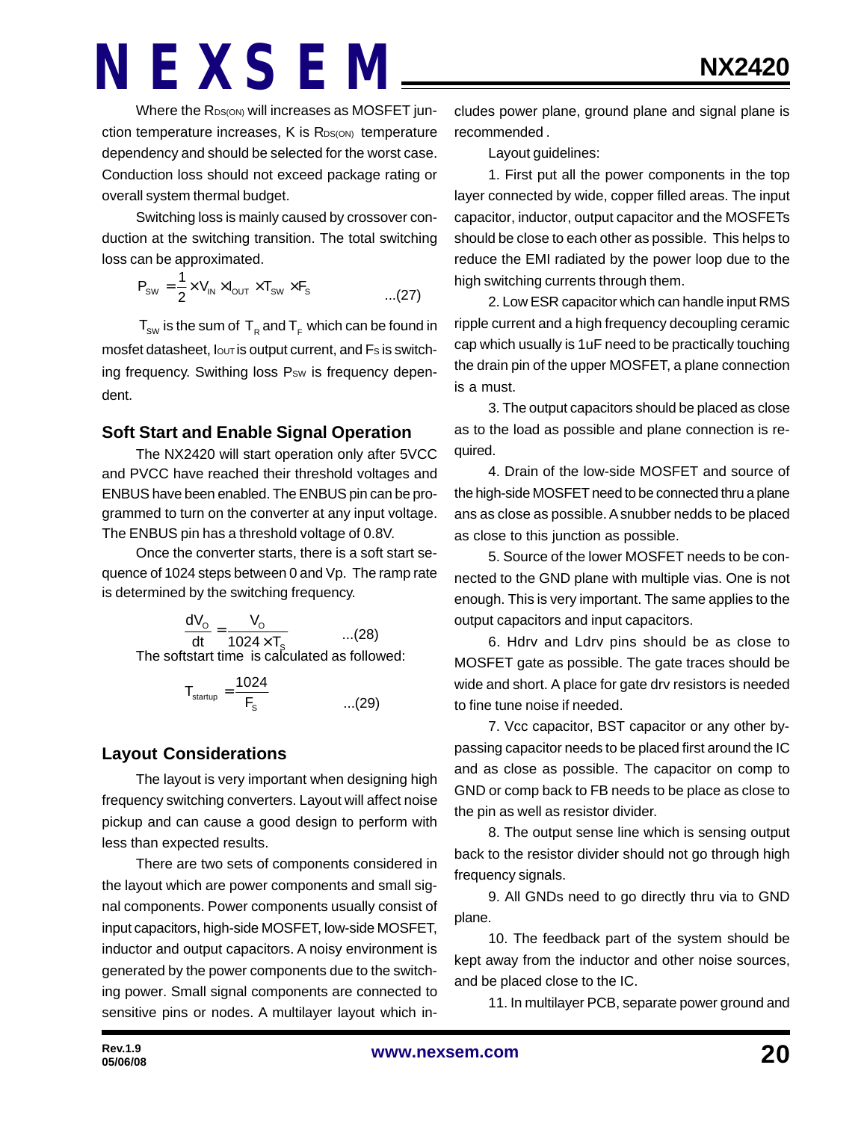Where the RDS(ON) will increases as MOSFET junction temperature increases, K is RDS(ON) temperature dependency and should be selected for the worst case. Conduction loss should not exceed package rating or overall system thermal budget.

Switching loss is mainly caused by crossover conduction at the switching transition. The total switching loss can be approximated.

$$
P_{\text{sw}} = \frac{1}{2} \times V_{\text{IN}} \times I_{\text{OUT}} \times T_{\text{sw}} \times F_{\text{s}}
$$
...(27)

 $\mathsf{T}_{_{\mathsf{SW}}}$  is the sum of  $\mathsf{T}_{_{\mathsf{R}}}$  and  $\mathsf{T}_{_{\mathsf{F}}}$  which can be found in mosfet datasheet, lout is output current, and Fs is switching frequency. Swithing loss Psw is frequency dependent.

### **Soft Start and Enable Signal Operation**

The NX2420 will start operation only after 5VCC and PVCC have reached their threshold voltages and ENBUS have been enabled. The ENBUS pin can be programmed to turn on the converter at any input voltage. The ENBUS pin has a threshold voltage of 0.8V.

Once the converter starts, there is a soft start sequence of 1024 steps between 0 and Vp. The ramp rate is determined by the switching frequency.

> $\frac{dv_0}{dt} = \frac{v_0}{1024}$ S  $dV_0$  V dt  $1024 \times T$ =  $\overline{\overline{X}}$  ...(28) The softstart time is calculated as followed:

$$
T_{\text{startup}} = \frac{1024}{F_s} \qquad \qquad \dots (29)
$$

### **Layout Considerations**

The layout is very important when designing high frequency switching converters. Layout will affect noise pickup and can cause a good design to perform with less than expected results.

There are two sets of components considered in the layout which are power components and small signal components. Power components usually consist of input capacitors, high-side MOSFET, low-side MOSFET, inductor and output capacitors. A noisy environment is generated by the power components due to the switching power. Small signal components are connected to sensitive pins or nodes. A multilayer layout which includes power plane, ground plane and signal plane is recommended .

Layout guidelines:

1. First put all the power components in the top layer connected by wide, copper filled areas. The input capacitor, inductor, output capacitor and the MOSFETs should be close to each other as possible. This helps to reduce the EMI radiated by the power loop due to the high switching currents through them.

2. Low ESR capacitor which can handle input RMS ripple current and a high frequency decoupling ceramic cap which usually is 1uF need to be practically touching the drain pin of the upper MOSFET, a plane connection is a must.

3. The output capacitors should be placed as close as to the load as possible and plane connection is required.

4. Drain of the low-side MOSFET and source of the high-side MOSFET need to be connected thru a plane ans as close as possible. A snubber nedds to be placed as close to this junction as possible.

5. Source of the lower MOSFET needs to be connected to the GND plane with multiple vias. One is not enough. This is very important. The same applies to the output capacitors and input capacitors.

6. Hdrv and Ldrv pins should be as close to MOSFET gate as possible. The gate traces should be wide and short. A place for gate drv resistors is needed to fine tune noise if needed.

7. Vcc capacitor, BST capacitor or any other bypassing capacitor needs to be placed first around the IC and as close as possible. The capacitor on comp to GND or comp back to FB needs to be place as close to the pin as well as resistor divider.

8. The output sense line which is sensing output back to the resistor divider should not go through high frequency signals.

9. All GNDs need to go directly thru via to GND plane.

10. The feedback part of the system should be kept away from the inductor and other noise sources, and be placed close to the IC.

11. In multilayer PCB, separate power ground and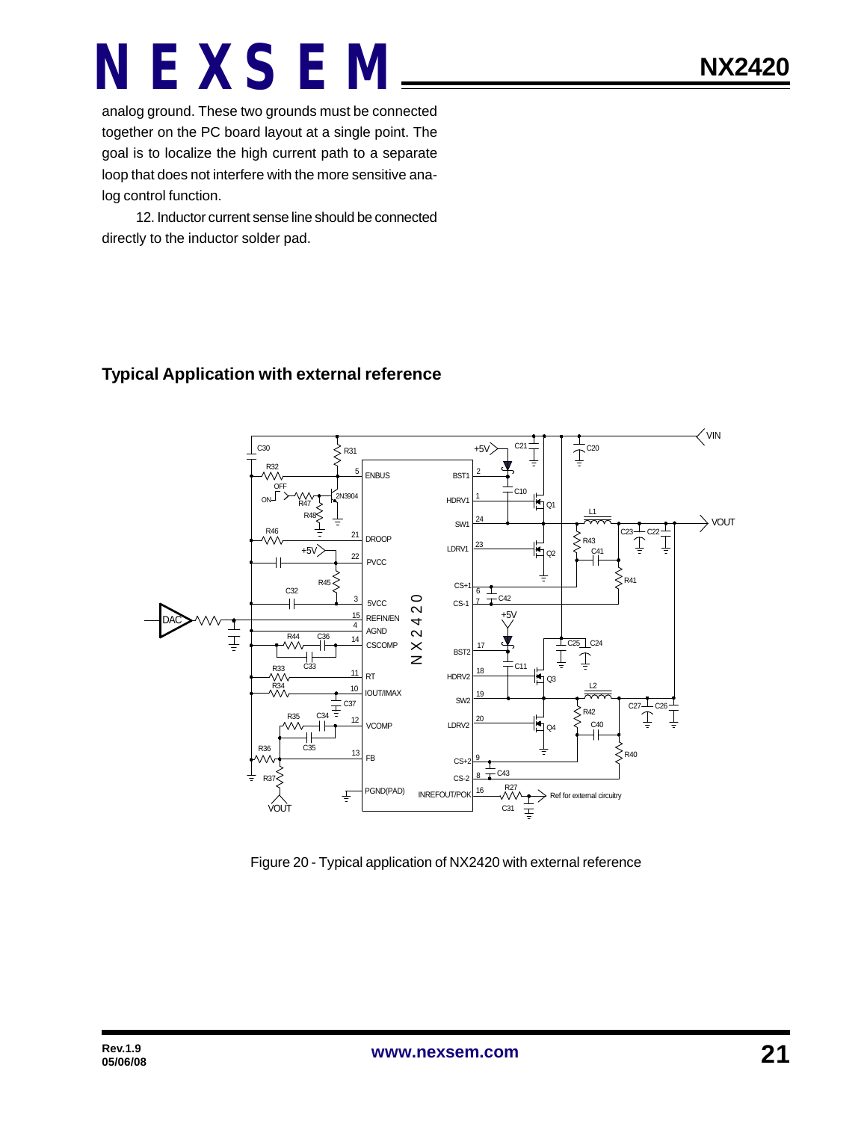analog ground. These two grounds must be connected together on the PC board layout at a single point. The goal is to localize the high current path to a separate loop that does not interfere with the more sensitive analog control function.

12. Inductor current sense line should be connected directly to the inductor solder pad.

### **Typical Application with external reference**



Figure 20 - Typical application of NX2420 with external reference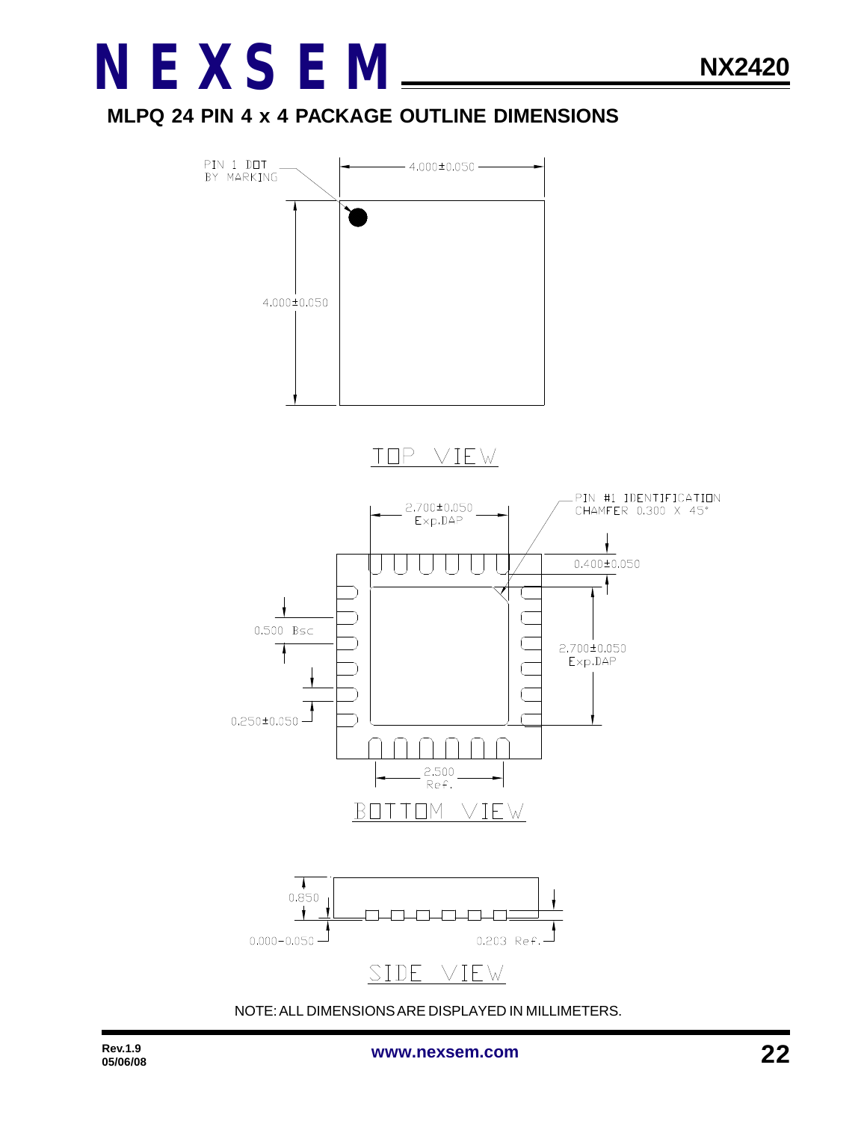

### **MLPQ 24 PIN 4 x 4 PACKAGE OUTLINE DIMENSIONS**



NOTE: ALL DIMENSIONS ARE DISPLAYED IN MILLIMETERS.